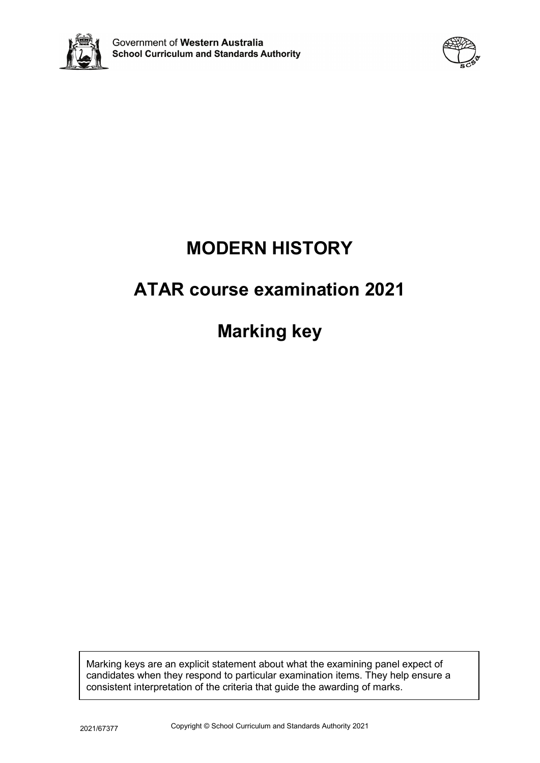



# **MODERN HISTORY**

# **ATAR course examination 2021**

**Marking key**

Marking keys are an explicit statement about what the examining panel expect of candidates when they respond to particular examination items. They help ensure a consistent interpretation of the criteria that guide the awarding of marks.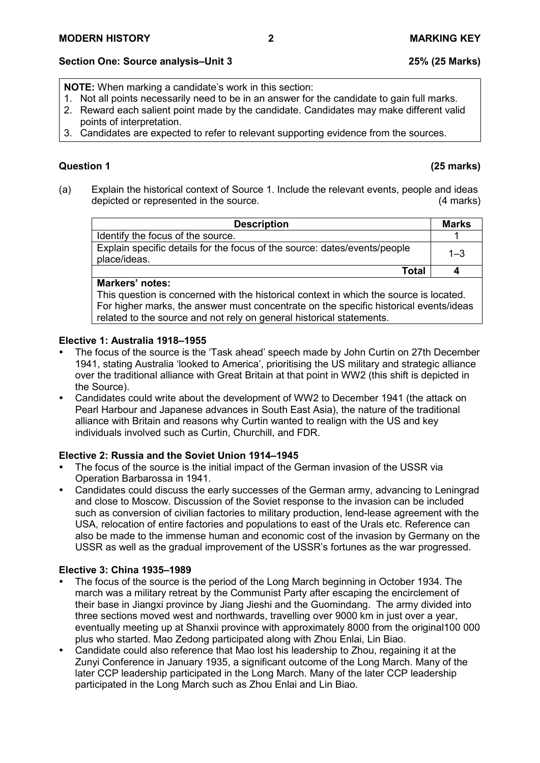# **Section One: Source analysis–Unit 3 25% (25 Marks)**

**NOTE:** When marking a candidate's work in this section:

- 1. Not all points necessarily need to be in an answer for the candidate to gain full marks.
- 2. Reward each salient point made by the candidate. Candidates may make different valid points of interpretation.
- 3. Candidates are expected to refer to relevant supporting evidence from the sources.

# **Question 1 (25 marks)**

(a) Explain the historical context of Source 1. Include the relevant events, people and ideas depicted or represented in the source. (4 marks)

| <b>Description</b>                                                                        | <b>Marks</b> |
|-------------------------------------------------------------------------------------------|--------------|
| Identify the focus of the source.                                                         |              |
| Explain specific details for the focus of the source: dates/events/people<br>place/ideas. | $1 - 3$      |
| Total                                                                                     |              |

# **Markers' notes:**

This question is concerned with the historical context in which the source is located. For higher marks, the answer must concentrate on the specific historical events/ideas related to the source and not rely on general historical statements.

# **Elective 1: Australia 1918–1955**

- The focus of the source is the 'Task ahead' speech made by John Curtin on 27th December 1941, stating Australia 'looked to America', prioritising the US military and strategic alliance over the traditional alliance with Great Britain at that point in WW2 (this shift is depicted in the Source).
- Candidates could write about the development of WW2 to December 1941 (the attack on Pearl Harbour and Japanese advances in South East Asia), the nature of the traditional alliance with Britain and reasons why Curtin wanted to realign with the US and key individuals involved such as Curtin, Churchill, and FDR.

# **Elective 2: Russia and the Soviet Union 1914–1945**

- The focus of the source is the initial impact of the German invasion of the USSR via Operation Barbarossa in 1941.
- Candidates could discuss the early successes of the German army, advancing to Leningrad and close to Moscow. Discussion of the Soviet response to the invasion can be included such as conversion of civilian factories to military production, lend-lease agreement with the USA, relocation of entire factories and populations to east of the Urals etc. Reference can also be made to the immense human and economic cost of the invasion by Germany on the USSR as well as the gradual improvement of the USSR's fortunes as the war progressed.

- The focus of the source is the period of the Long March beginning in October 1934. The march was a military retreat by the Communist Party after escaping the encirclement of their base in Jiangxi province by Jiang Jieshi and the Guomindang. The army divided into three sections moved west and northwards, travelling over 9000 km in just over a year, eventually meeting up at Shanxii province with approximately 8000 from the original100 000 plus who started. Mao Zedong participated along with Zhou Enlai, Lin Biao.
- Candidate could also reference that Mao lost his leadership to Zhou, regaining it at the Zunyi Conference in January 1935, a significant outcome of the Long March. Many of the later CCP leadership participated in the Long March. Many of the later CCP leadership participated in the Long March such as Zhou Enlai and Lin Biao.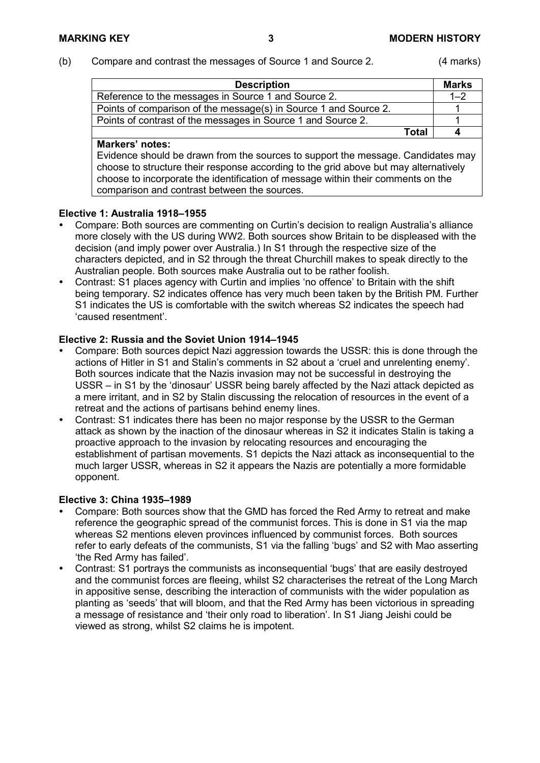#### (b) Compare and contrast the messages of Source 1 and Source 2. (4 marks)

| <b>Description</b>                                               |       | <b>Marks</b> |
|------------------------------------------------------------------|-------|--------------|
| Reference to the messages in Source 1 and Source 2.              |       | $1 - 2$      |
| Points of comparison of the message(s) in Source 1 and Source 2. |       |              |
| Points of contrast of the messages in Source 1 and Source 2.     |       |              |
|                                                                  | Total |              |

#### **Markers' notes:**

Evidence should be drawn from the sources to support the message. Candidates may choose to structure their response according to the grid above but may alternatively choose to incorporate the identification of message within their comments on the comparison and contrast between the sources.

#### **Elective 1: Australia 1918–1955**

- Compare: Both sources are commenting on Curtin's decision to realign Australia's alliance more closely with the US during WW2. Both sources show Britain to be displeased with the decision (and imply power over Australia.) In S1 through the respective size of the characters depicted, and in S2 through the threat Churchill makes to speak directly to the Australian people. Both sources make Australia out to be rather foolish.
- Contrast: S1 places agency with Curtin and implies 'no offence' to Britain with the shift being temporary. S2 indicates offence has very much been taken by the British PM. Further S1 indicates the US is comfortable with the switch whereas S2 indicates the speech had 'caused resentment'.

#### **Elective 2: Russia and the Soviet Union 1914–1945**

- Compare: Both sources depict Nazi aggression towards the USSR: this is done through the actions of Hitler in S1 and Stalin's comments in S2 about a 'cruel and unrelenting enemy'. Both sources indicate that the Nazis invasion may not be successful in destroying the USSR – in S1 by the 'dinosaur' USSR being barely affected by the Nazi attack depicted as a mere irritant, and in S2 by Stalin discussing the relocation of resources in the event of a retreat and the actions of partisans behind enemy lines.
- Contrast: S1 indicates there has been no major response by the USSR to the German attack as shown by the inaction of the dinosaur whereas in S2 it indicates Stalin is taking a proactive approach to the invasion by relocating resources and encouraging the establishment of partisan movements. S1 depicts the Nazi attack as inconsequential to the much larger USSR, whereas in S2 it appears the Nazis are potentially a more formidable opponent.

- Compare: Both sources show that the GMD has forced the Red Army to retreat and make reference the geographic spread of the communist forces. This is done in S1 via the map whereas S2 mentions eleven provinces influenced by communist forces. Both sources refer to early defeats of the communists, S1 via the falling 'bugs' and S2 with Mao asserting 'the Red Army has failed'.
- Contrast: S1 portrays the communists as inconsequential 'bugs' that are easily destroyed and the communist forces are fleeing, whilst S2 characterises the retreat of the Long March in appositive sense, describing the interaction of communists with the wider population as planting as 'seeds' that will bloom, and that the Red Army has been victorious in spreading a message of resistance and 'their only road to liberation'. In S1 Jiang Jeishi could be viewed as strong, whilst S2 claims he is impotent.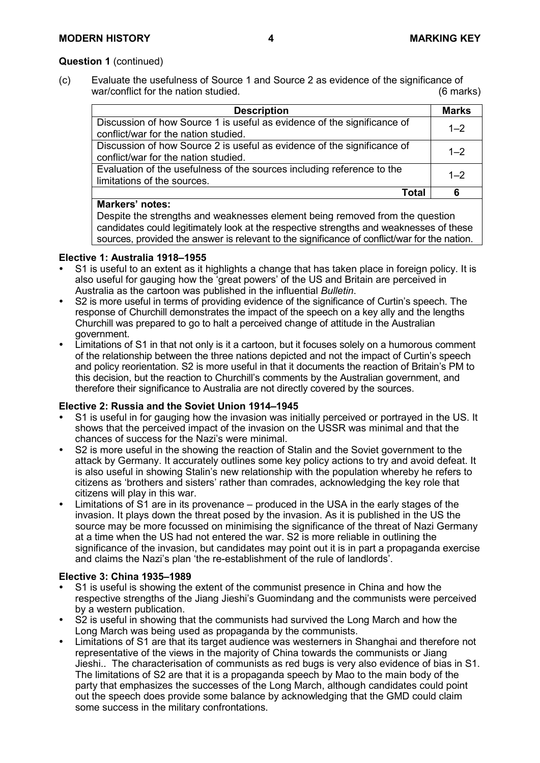### **Question 1** (continued)

(c) Evaluate the usefulness of Source 1 and Source 2 as evidence of the significance of war/conflict for the nation studied. The nation studied of the nation of the nation of the nation of the nation of the nation of the nation of the nation of the nation of the nation of the nation of the nation of the natio

| <b>Description</b>                                                                                              | <b>Marks</b> |
|-----------------------------------------------------------------------------------------------------------------|--------------|
| Discussion of how Source 1 is useful as evidence of the significance of<br>conflict/war for the nation studied. | $1 - 2$      |
| Discussion of how Source 2 is useful as evidence of the significance of<br>conflict/war for the nation studied. | $1 - 2$      |
| Evaluation of the usefulness of the sources including reference to the<br>limitations of the sources.           | $1 - 2$      |
| Total                                                                                                           | 6            |

#### **Markers' notes:**

Despite the strengths and weaknesses element being removed from the question candidates could legitimately look at the respective strengths and weaknesses of these sources, provided the answer is relevant to the significance of conflict/war for the nation.

### **Elective 1: Australia 1918–1955**

- S1 is useful to an extent as it highlights a change that has taken place in foreign policy. It is also useful for gauging how the 'great powers' of the US and Britain are perceived in Australia as the cartoon was published in the influential *Bulletin*.
- S2 is more useful in terms of providing evidence of the significance of Curtin's speech. The response of Churchill demonstrates the impact of the speech on a key ally and the lengths Churchill was prepared to go to halt a perceived change of attitude in the Australian government.
- Limitations of S1 in that not only is it a cartoon, but it focuses solely on a humorous comment of the relationship between the three nations depicted and not the impact of Curtin's speech and policy reorientation. S2 is more useful in that it documents the reaction of Britain's PM to this decision, but the reaction to Churchill's comments by the Australian government, and therefore their significance to Australia are not directly covered by the sources.

### **Elective 2: Russia and the Soviet Union 1914–1945**

- S1 is useful in for gauging how the invasion was initially perceived or portrayed in the US. It shows that the perceived impact of the invasion on the USSR was minimal and that the chances of success for the Nazi's were minimal.
- S2 is more useful in the showing the reaction of Stalin and the Soviet government to the attack by Germany. It accurately outlines some key policy actions to try and avoid defeat. It is also useful in showing Stalin's new relationship with the population whereby he refers to citizens as 'brothers and sisters' rather than comrades, acknowledging the key role that citizens will play in this war.
- Limitations of S1 are in its provenance produced in the USA in the early stages of the invasion. It plays down the threat posed by the invasion. As it is published in the US the source may be more focussed on minimising the significance of the threat of Nazi Germany at a time when the US had not entered the war. S2 is more reliable in outlining the significance of the invasion, but candidates may point out it is in part a propaganda exercise and claims the Nazi's plan 'the re-establishment of the rule of landlords'.

- S1 is useful is showing the extent of the communist presence in China and how the respective strengths of the Jiang Jieshi's Guomindang and the communists were perceived by a western publication.
- S2 is useful in showing that the communists had survived the Long March and how the Long March was being used as propaganda by the communists.
- Limitations of S1 are that its target audience was westerners in Shanghai and therefore not representative of the views in the majority of China towards the communists or Jiang Jieshi.. The characterisation of communists as red bugs is very also evidence of bias in S1. The limitations of S2 are that it is a propaganda speech by Mao to the main body of the party that emphasizes the successes of the Long March, although candidates could point out the speech does provide some balance by acknowledging that the GMD could claim some success in the military confrontations.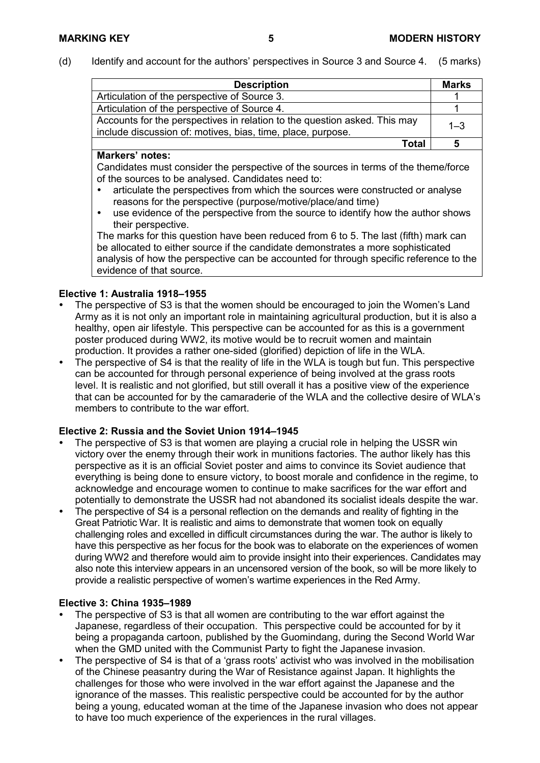(d) Identify and account for the authors' perspectives in Source 3 and Source 4. (5 marks)

| <b>Description</b>                                                                                                                       | <b>Marks</b> |
|------------------------------------------------------------------------------------------------------------------------------------------|--------------|
| Articulation of the perspective of Source 3.                                                                                             |              |
| Articulation of the perspective of Source 4.                                                                                             |              |
| Accounts for the perspectives in relation to the question asked. This may<br>include discussion of: motives, bias, time, place, purpose. | $1 - 3$      |
| Total                                                                                                                                    | 5            |

#### **Markers' notes:**

Candidates must consider the perspective of the sources in terms of the theme/force of the sources to be analysed. Candidates need to:

- articulate the perspectives from which the sources were constructed or analyse reasons for the perspective (purpose/motive/place/and time)
- use evidence of the perspective from the source to identify how the author shows their perspective.

The marks for this question have been reduced from 6 to 5. The last (fifth) mark can be allocated to either source if the candidate demonstrates a more sophisticated analysis of how the perspective can be accounted for through specific reference to the evidence of that source.

### **Elective 1: Australia 1918–1955**

- The perspective of S3 is that the women should be encouraged to join the Women's Land Army as it is not only an important role in maintaining agricultural production, but it is also a healthy, open air lifestyle. This perspective can be accounted for as this is a government poster produced during WW2, its motive would be to recruit women and maintain production. It provides a rather one-sided (glorified) depiction of life in the WLA.
- The perspective of S4 is that the reality of life in the WLA is tough but fun. This perspective can be accounted for through personal experience of being involved at the grass roots level. It is realistic and not glorified, but still overall it has a positive view of the experience that can be accounted for by the camaraderie of the WLA and the collective desire of WLA's members to contribute to the war effort.

### **Elective 2: Russia and the Soviet Union 1914–1945**

- The perspective of S3 is that women are playing a crucial role in helping the USSR win victory over the enemy through their work in munitions factories. The author likely has this perspective as it is an official Soviet poster and aims to convince its Soviet audience that everything is being done to ensure victory, to boost morale and confidence in the regime, to acknowledge and encourage women to continue to make sacrifices for the war effort and potentially to demonstrate the USSR had not abandoned its socialist ideals despite the war.
- The perspective of S4 is a personal reflection on the demands and reality of fighting in the Great Patriotic War. It is realistic and aims to demonstrate that women took on equally challenging roles and excelled in difficult circumstances during the war. The author is likely to have this perspective as her focus for the book was to elaborate on the experiences of women during WW2 and therefore would aim to provide insight into their experiences. Candidates may also note this interview appears in an uncensored version of the book, so will be more likely to provide a realistic perspective of women's wartime experiences in the Red Army.

- The perspective of S3 is that all women are contributing to the war effort against the Japanese, regardless of their occupation. This perspective could be accounted for by it being a propaganda cartoon, published by the Guomindang, during the Second World War when the GMD united with the Communist Party to fight the Japanese invasion.
- The perspective of S4 is that of a 'grass roots' activist who was involved in the mobilisation of the Chinese peasantry during the War of Resistance against Japan. It highlights the challenges for those who were involved in the war effort against the Japanese and the ignorance of the masses. This realistic perspective could be accounted for by the author being a young, educated woman at the time of the Japanese invasion who does not appear to have too much experience of the experiences in the rural villages.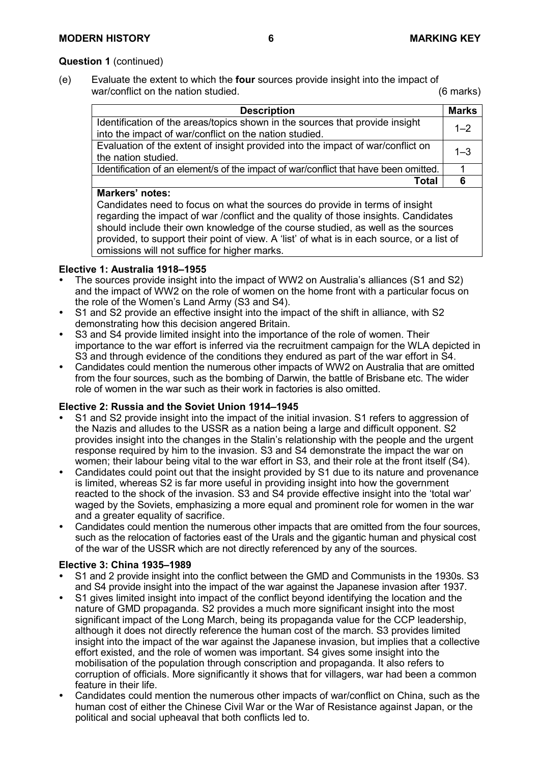### **Question 1** (continued)

(e) Evaluate the extent to which the **four** sources provide insight into the impact of war/conflict on the nation studied. The nation studied of the nation studied. (6 marks)

| <b>Description</b>                                                                                                                                                                                                                                                                                                                                                                                                             | <b>Marks</b> |
|--------------------------------------------------------------------------------------------------------------------------------------------------------------------------------------------------------------------------------------------------------------------------------------------------------------------------------------------------------------------------------------------------------------------------------|--------------|
| Identification of the areas/topics shown in the sources that provide insight<br>into the impact of war/conflict on the nation studied.                                                                                                                                                                                                                                                                                         | $1 - 2$      |
| Evaluation of the extent of insight provided into the impact of war/conflict on<br>the nation studied.                                                                                                                                                                                                                                                                                                                         | $1 - 3$      |
| Identification of an element/s of the impact of war/conflict that have been omitted.                                                                                                                                                                                                                                                                                                                                           |              |
| <b>Total</b>                                                                                                                                                                                                                                                                                                                                                                                                                   | 6            |
| <b>Markers' notes:</b><br>Candidates need to focus on what the sources do provide in terms of insight<br>regarding the impact of war /conflict and the quality of those insights. Candidates<br>should include their own knowledge of the course studied, as well as the sources<br>provided, to support their point of view. A 'list' of what is in each source, or a list of<br>omissions will not suffice for higher marks. |              |

### **Elective 1: Australia 1918–1955**

- The sources provide insight into the impact of WW2 on Australia's alliances (S1 and S2) and the impact of WW2 on the role of women on the home front with a particular focus on the role of the Women's Land Army (S3 and S4).
- S1 and S2 provide an effective insight into the impact of the shift in alliance, with S2 demonstrating how this decision angered Britain.
- S3 and S4 provide limited insight into the importance of the role of women. Their importance to the war effort is inferred via the recruitment campaign for the WLA depicted in S3 and through evidence of the conditions they endured as part of the war effort in S4.
- Candidates could mention the numerous other impacts of WW2 on Australia that are omitted from the four sources, such as the bombing of Darwin, the battle of Brisbane etc. The wider role of women in the war such as their work in factories is also omitted.

#### **Elective 2: Russia and the Soviet Union 1914–1945**

- S1 and S2 provide insight into the impact of the initial invasion. S1 refers to aggression of the Nazis and alludes to the USSR as a nation being a large and difficult opponent. S2 provides insight into the changes in the Stalin's relationship with the people and the urgent response required by him to the invasion. S3 and S4 demonstrate the impact the war on women; their labour being vital to the war effort in S3, and their role at the front itself (S4).
- Candidates could point out that the insight provided by S1 due to its nature and provenance is limited, whereas S2 is far more useful in providing insight into how the government reacted to the shock of the invasion. S3 and S4 provide effective insight into the 'total war' waged by the Soviets, emphasizing a more equal and prominent role for women in the war and a greater equality of sacrifice.
- Candidates could mention the numerous other impacts that are omitted from the four sources, such as the relocation of factories east of the Urals and the gigantic human and physical cost of the war of the USSR which are not directly referenced by any of the sources.

- S1 and 2 provide insight into the conflict between the GMD and Communists in the 1930s. S3 and S4 provide insight into the impact of the war against the Japanese invasion after 1937.
- S1 gives limited insight into impact of the conflict beyond identifying the location and the nature of GMD propaganda. S2 provides a much more significant insight into the most significant impact of the Long March, being its propaganda value for the CCP leadership, although it does not directly reference the human cost of the march. S3 provides limited insight into the impact of the war against the Japanese invasion, but implies that a collective effort existed, and the role of women was important. S4 gives some insight into the mobilisation of the population through conscription and propaganda. It also refers to corruption of officials. More significantly it shows that for villagers, war had been a common feature in their life.
- Candidates could mention the numerous other impacts of war/conflict on China, such as the human cost of either the Chinese Civil War or the War of Resistance against Japan, or the political and social upheaval that both conflicts led to.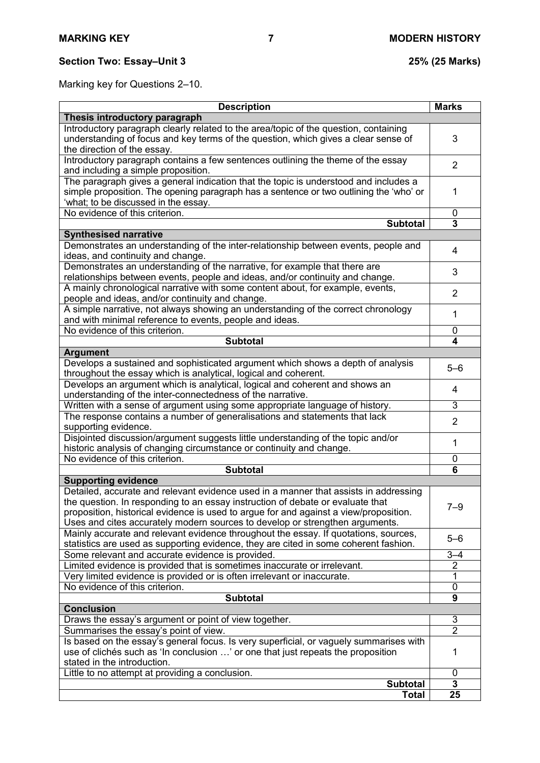# **Section Two: Essay–Unit 3 25% (25 Marks)**

Marking key for Questions 2–10.

| <b>Description</b>                                                                                                                                                                                                                                                                                                                              | <b>Marks</b>        |
|-------------------------------------------------------------------------------------------------------------------------------------------------------------------------------------------------------------------------------------------------------------------------------------------------------------------------------------------------|---------------------|
| Thesis introductory paragraph                                                                                                                                                                                                                                                                                                                   |                     |
| Introductory paragraph clearly related to the area/topic of the question, containing<br>understanding of focus and key terms of the question, which gives a clear sense of<br>the direction of the essay.                                                                                                                                       | 3                   |
| Introductory paragraph contains a few sentences outlining the theme of the essay<br>and including a simple proposition.                                                                                                                                                                                                                         | $\overline{2}$      |
| The paragraph gives a general indication that the topic is understood and includes a<br>simple proposition. The opening paragraph has a sentence or two outlining the 'who' or<br>'what; to be discussed in the essay.                                                                                                                          | 1                   |
| No evidence of this criterion.                                                                                                                                                                                                                                                                                                                  | 0                   |
| <b>Subtotal</b>                                                                                                                                                                                                                                                                                                                                 | 3                   |
| <b>Synthesised narrative</b>                                                                                                                                                                                                                                                                                                                    |                     |
| Demonstrates an understanding of the inter-relationship between events, people and<br>ideas, and continuity and change.                                                                                                                                                                                                                         | 4                   |
| Demonstrates an understanding of the narrative, for example that there are<br>relationships between events, people and ideas, and/or continuity and change.                                                                                                                                                                                     | 3                   |
| A mainly chronological narrative with some content about, for example, events,<br>people and ideas, and/or continuity and change.                                                                                                                                                                                                               | $\overline{2}$      |
| A simple narrative, not always showing an understanding of the correct chronology<br>and with minimal reference to events, people and ideas.                                                                                                                                                                                                    | 1                   |
| No evidence of this criterion.                                                                                                                                                                                                                                                                                                                  | 0                   |
| <b>Subtotal</b>                                                                                                                                                                                                                                                                                                                                 | 4                   |
| <b>Argument</b>                                                                                                                                                                                                                                                                                                                                 |                     |
| Develops a sustained and sophisticated argument which shows a depth of analysis<br>throughout the essay which is analytical, logical and coherent.                                                                                                                                                                                              | $5 - 6$             |
| Develops an argument which is analytical, logical and coherent and shows an<br>understanding of the inter-connectedness of the narrative.                                                                                                                                                                                                       | 4                   |
| Written with a sense of argument using some appropriate language of history.                                                                                                                                                                                                                                                                    | 3                   |
| The response contains a number of generalisations and statements that lack<br>supporting evidence.                                                                                                                                                                                                                                              | $\overline{2}$      |
| Disjointed discussion/argument suggests little understanding of the topic and/or<br>historic analysis of changing circumstance or continuity and change.                                                                                                                                                                                        | 1                   |
| No evidence of this criterion.                                                                                                                                                                                                                                                                                                                  | 0                   |
| <b>Subtotal</b>                                                                                                                                                                                                                                                                                                                                 | 6                   |
| <b>Supporting evidence</b>                                                                                                                                                                                                                                                                                                                      |                     |
| Detailed, accurate and relevant evidence used in a manner that assists in addressing<br>the question. In responding to an essay instruction of debate or evaluate that<br>proposition, historical evidence is used to argue for and against a view/proposition.<br>Uses and cites accurately modern sources to develop or strengthen arguments. | $7 - 9$             |
| Mainly accurate and relevant evidence throughout the essay. If quotations, sources,<br>statistics are used as supporting evidence, they are cited in some coherent fashion.                                                                                                                                                                     | $5 - 6$             |
| Some relevant and accurate evidence is provided.                                                                                                                                                                                                                                                                                                | $3 - 4$             |
| Limited evidence is provided that is sometimes inaccurate or irrelevant.                                                                                                                                                                                                                                                                        | $\overline{2}$      |
| Very limited evidence is provided or is often irrelevant or inaccurate.                                                                                                                                                                                                                                                                         | 1                   |
| No evidence of this criterion.                                                                                                                                                                                                                                                                                                                  | 0                   |
| <b>Subtotal</b>                                                                                                                                                                                                                                                                                                                                 | 9                   |
| <b>Conclusion</b>                                                                                                                                                                                                                                                                                                                               |                     |
| Draws the essay's argument or point of view together.<br>Summarises the essay's point of view.                                                                                                                                                                                                                                                  | 3<br>$\overline{2}$ |
| Is based on the essay's general focus. Is very superficial, or vaguely summarises with                                                                                                                                                                                                                                                          |                     |
| use of clichés such as 'In conclusion ' or one that just repeats the proposition<br>stated in the introduction.                                                                                                                                                                                                                                 | 1                   |
| Little to no attempt at providing a conclusion.                                                                                                                                                                                                                                                                                                 | 0                   |
| <b>Subtotal</b>                                                                                                                                                                                                                                                                                                                                 | 3                   |
| Total                                                                                                                                                                                                                                                                                                                                           | 25                  |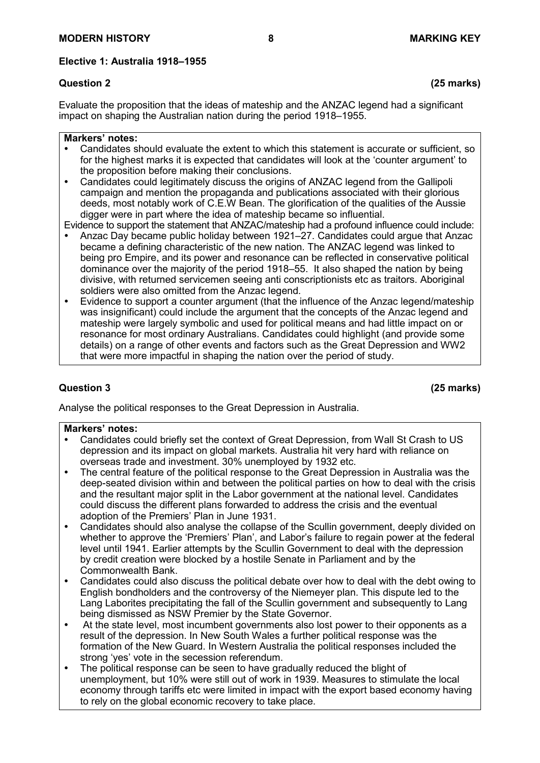#### **Elective 1: Australia 1918–1955**

Evaluate the proposition that the ideas of mateship and the ANZAC legend had a significant impact on shaping the Australian nation during the period 1918–1955.

#### **Markers' notes:**

- Candidates should evaluate the extent to which this statement is accurate or sufficient, so for the highest marks it is expected that candidates will look at the 'counter argument' to the proposition before making their conclusions.
- Candidates could legitimately discuss the origins of ANZAC legend from the Gallipoli campaign and mention the propaganda and publications associated with their glorious deeds, most notably work of C.E.W Bean. The glorification of the qualities of the Aussie digger were in part where the idea of mateship became so influential.

Evidence to support the statement that ANZAC/mateship had a profound influence could include:

- Anzac Day became public holiday between 1921–27. Candidates could argue that Anzac became a defining characteristic of the new nation. The ANZAC legend was linked to being pro Empire, and its power and resonance can be reflected in conservative political dominance over the majority of the period 1918–55. It also shaped the nation by being divisive, with returned servicemen seeing anti conscriptionists etc as traitors. Aboriginal soldiers were also omitted from the Anzac legend.
- Evidence to support a counter argument (that the influence of the Anzac legend/mateship was insignificant) could include the argument that the concepts of the Anzac legend and mateship were largely symbolic and used for political means and had little impact on or resonance for most ordinary Australians. Candidates could highlight (and provide some details) on a range of other events and factors such as the Great Depression and WW2 that were more impactful in shaping the nation over the period of study.

# **Question 3 (25 marks)**

Analyse the political responses to the Great Depression in Australia.

#### **Markers' notes:**

- Candidates could briefly set the context of Great Depression, from Wall St Crash to US depression and its impact on global markets. Australia hit very hard with reliance on overseas trade and investment. 30% unemployed by 1932 etc.
- The central feature of the political response to the Great Depression in Australia was the deep-seated division within and between the political parties on how to deal with the crisis and the resultant major split in the Labor government at the national level. Candidates could discuss the different plans forwarded to address the crisis and the eventual adoption of the Premiers' Plan in June 1931.
- Candidates should also analyse the collapse of the Scullin government, deeply divided on whether to approve the 'Premiers' Plan', and Labor's failure to regain power at the federal level until 1941. Earlier attempts by the Scullin Government to deal with the depression by credit creation were blocked by a hostile Senate in Parliament and by the Commonwealth Bank.
- Candidates could also discuss the political debate over how to deal with the debt owing to English bondholders and the controversy of the Niemeyer plan. This dispute led to the Lang Laborites precipitating the fall of the Scullin government and subsequently to Lang being dismissed as NSW Premier by the State Governor.
- At the state level, most incumbent governments also lost power to their opponents as a result of the depression. In New South Wales a further political response was the formation of the New Guard. In Western Australia the political responses included the strong 'yes' vote in the secession referendum.
- The political response can be seen to have gradually reduced the blight of unemployment, but 10% were still out of work in 1939. Measures to stimulate the local economy through tariffs etc were limited in impact with the export based economy having to rely on the global economic recovery to take place.

**Question 2 (25 marks)**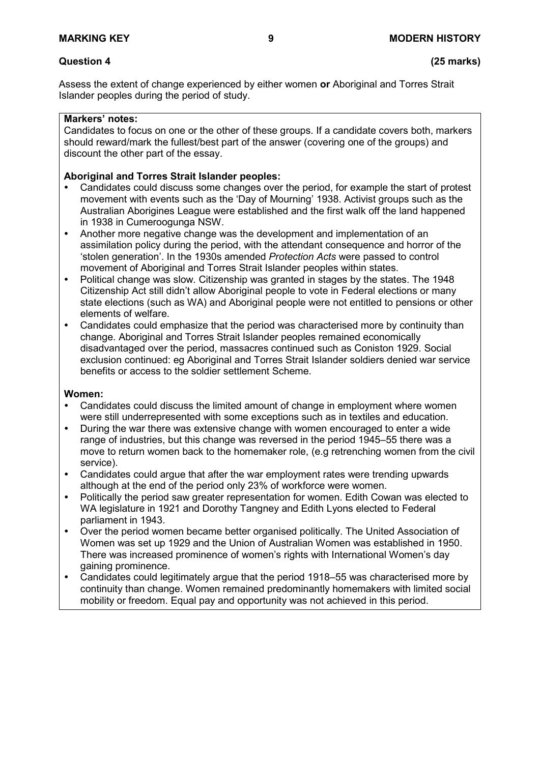Assess the extent of change experienced by either women **or** Aboriginal and Torres Strait Islander peoples during the period of study.

#### **Markers' notes:**

Candidates to focus on one or the other of these groups. If a candidate covers both, markers should reward/mark the fullest/best part of the answer (covering one of the groups) and discount the other part of the essay.

### **Aboriginal and Torres Strait Islander peoples:**

- Candidates could discuss some changes over the period, for example the start of protest movement with events such as the 'Day of Mourning' 1938. Activist groups such as the Australian Aborigines League were established and the first walk off the land happened in 1938 in Cumeroogunga NSW.
- Another more negative change was the development and implementation of an assimilation policy during the period, with the attendant consequence and horror of the 'stolen generation'. In the 1930s amended *Protection Acts* were passed to control movement of Aboriginal and Torres Strait Islander peoples within states.
- Political change was slow. Citizenship was granted in stages by the states. The 1948 Citizenship Act still didn't allow Aboriginal people to vote in Federal elections or many state elections (such as WA) and Aboriginal people were not entitled to pensions or other elements of welfare.
- Candidates could emphasize that the period was characterised more by continuity than change. Aboriginal and Torres Strait Islander peoples remained economically disadvantaged over the period, massacres continued such as Coniston 1929. Social exclusion continued: eg Aboriginal and Torres Strait Islander soldiers denied war service benefits or access to the soldier settlement Scheme.

#### **Women:**

- Candidates could discuss the limited amount of change in employment where women were still underrepresented with some exceptions such as in textiles and education.
- During the war there was extensive change with women encouraged to enter a wide range of industries, but this change was reversed in the period 1945–55 there was a move to return women back to the homemaker role, (e.g retrenching women from the civil service).
- Candidates could argue that after the war employment rates were trending upwards although at the end of the period only 23% of workforce were women.
- Politically the period saw greater representation for women. Edith Cowan was elected to WA legislature in 1921 and Dorothy Tangney and Edith Lyons elected to Federal parliament in 1943.
- Over the period women became better organised politically. The United Association of Women was set up 1929 and the Union of Australian Women was established in 1950. There was increased prominence of women's rights with International Women's day gaining prominence.
- Candidates could legitimately argue that the period 1918–55 was characterised more by continuity than change. Women remained predominantly homemakers with limited social mobility or freedom. Equal pay and opportunity was not achieved in this period.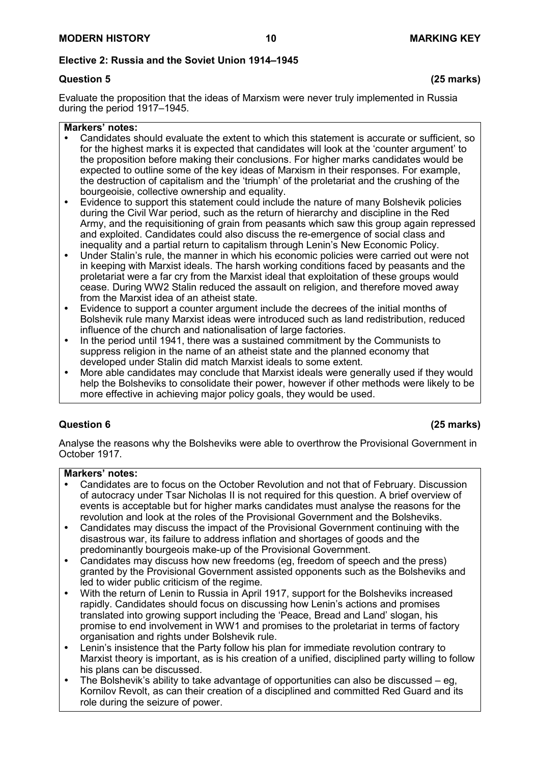# **Elective 2: Russia and the Soviet Union 1914–1945**

Evaluate the proposition that the ideas of Marxism were never truly implemented in Russia during the period 1917–1945.

#### **Markers' notes:**

- Candidates should evaluate the extent to which this statement is accurate or sufficient, so for the highest marks it is expected that candidates will look at the 'counter argument' to the proposition before making their conclusions. For higher marks candidates would be expected to outline some of the key ideas of Marxism in their responses. For example, the destruction of capitalism and the 'triumph' of the proletariat and the crushing of the bourgeoisie, collective ownership and equality.
- Evidence to support this statement could include the nature of many Bolshevik policies during the Civil War period, such as the return of hierarchy and discipline in the Red Army, and the requisitioning of grain from peasants which saw this group again repressed and exploited. Candidates could also discuss the re-emergence of social class and inequality and a partial return to capitalism through Lenin's New Economic Policy.
- Under Stalin's rule, the manner in which his economic policies were carried out were not in keeping with Marxist ideals. The harsh working conditions faced by peasants and the proletariat were a far cry from the Marxist ideal that exploitation of these groups would cease. During WW2 Stalin reduced the assault on religion, and therefore moved away from the Marxist idea of an atheist state.
- Evidence to support a counter argument include the decrees of the initial months of Bolshevik rule many Marxist ideas were introduced such as land redistribution, reduced influence of the church and nationalisation of large factories.
- In the period until 1941, there was a sustained commitment by the Communists to suppress religion in the name of an atheist state and the planned economy that developed under Stalin did match Marxist ideals to some extent.
- More able candidates may conclude that Marxist ideals were generally used if they would help the Bolsheviks to consolidate their power, however if other methods were likely to be more effective in achieving major policy goals, they would be used.

# **Question 6 (25 marks)**

Analyse the reasons why the Bolsheviks were able to overthrow the Provisional Government in October 1917.

#### **Markers' notes:**

- Candidates are to focus on the October Revolution and not that of February. Discussion of autocracy under Tsar Nicholas II is not required for this question. A brief overview of events is acceptable but for higher marks candidates must analyse the reasons for the revolution and look at the roles of the Provisional Government and the Bolsheviks.
- Candidates may discuss the impact of the Provisional Government continuing with the disastrous war, its failure to address inflation and shortages of goods and the predominantly bourgeois make-up of the Provisional Government.
- Candidates may discuss how new freedoms (eg, freedom of speech and the press) granted by the Provisional Government assisted opponents such as the Bolsheviks and led to wider public criticism of the regime.
- With the return of Lenin to Russia in April 1917, support for the Bolsheviks increased rapidly. Candidates should focus on discussing how Lenin's actions and promises translated into growing support including the 'Peace, Bread and Land' slogan, his promise to end involvement in WW1 and promises to the proletariat in terms of factory organisation and rights under Bolshevik rule.
- Lenin's insistence that the Party follow his plan for immediate revolution contrary to Marxist theory is important, as is his creation of a unified, disciplined party willing to follow his plans can be discussed.
- The Bolshevik's ability to take advantage of opportunities can also be discussed eg, Kornilov Revolt, as can their creation of a disciplined and committed Red Guard and its role during the seizure of power.

# **Question 5 (25 marks)**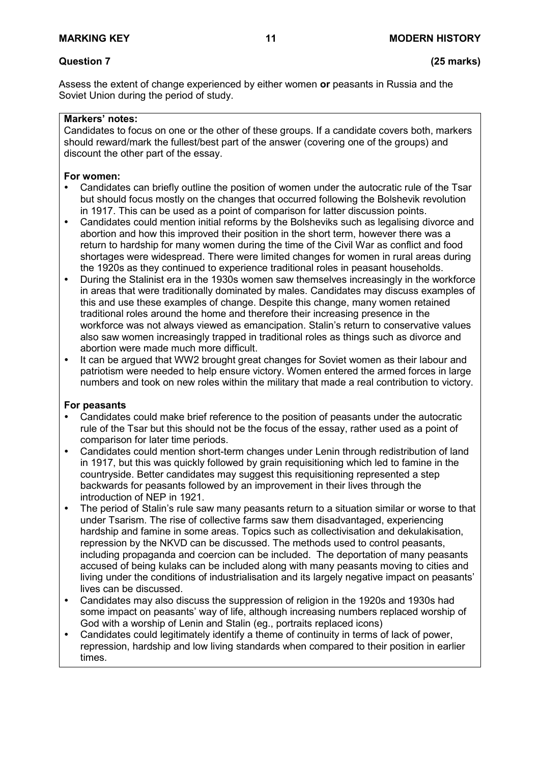# **Question 7 (25 marks)**

Assess the extent of change experienced by either women **or** peasants in Russia and the Soviet Union during the period of study.

#### **Markers' notes:**

Candidates to focus on one or the other of these groups. If a candidate covers both, markers should reward/mark the fullest/best part of the answer (covering one of the groups) and discount the other part of the essay.

#### **For women:**

- Candidates can briefly outline the position of women under the autocratic rule of the Tsar but should focus mostly on the changes that occurred following the Bolshevik revolution in 1917. This can be used as a point of comparison for latter discussion points.
- Candidates could mention initial reforms by the Bolsheviks such as legalising divorce and abortion and how this improved their position in the short term, however there was a return to hardship for many women during the time of the Civil War as conflict and food shortages were widespread. There were limited changes for women in rural areas during the 1920s as they continued to experience traditional roles in peasant households.
- During the Stalinist era in the 1930s women saw themselves increasingly in the workforce in areas that were traditionally dominated by males. Candidates may discuss examples of this and use these examples of change. Despite this change, many women retained traditional roles around the home and therefore their increasing presence in the workforce was not always viewed as emancipation. Stalin's return to conservative values also saw women increasingly trapped in traditional roles as things such as divorce and abortion were made much more difficult.
- It can be argued that WW2 brought great changes for Soviet women as their labour and patriotism were needed to help ensure victory. Women entered the armed forces in large numbers and took on new roles within the military that made a real contribution to victory.

#### **For peasants**

- Candidates could make brief reference to the position of peasants under the autocratic rule of the Tsar but this should not be the focus of the essay, rather used as a point of comparison for later time periods.
- Candidates could mention short-term changes under Lenin through redistribution of land in 1917, but this was quickly followed by grain requisitioning which led to famine in the countryside. Better candidates may suggest this requisitioning represented a step backwards for peasants followed by an improvement in their lives through the introduction of NEP in 1921.
- The period of Stalin's rule saw many peasants return to a situation similar or worse to that under Tsarism. The rise of collective farms saw them disadvantaged, experiencing hardship and famine in some areas. Topics such as collectivisation and dekulakisation, repression by the NKVD can be discussed. The methods used to control peasants, including propaganda and coercion can be included. The deportation of many peasants accused of being kulaks can be included along with many peasants moving to cities and living under the conditions of industrialisation and its largely negative impact on peasants' lives can be discussed.
- Candidates may also discuss the suppression of religion in the 1920s and 1930s had some impact on peasants' way of life, although increasing numbers replaced worship of God with a worship of Lenin and Stalin (eg., portraits replaced icons)
- Candidates could legitimately identify a theme of continuity in terms of lack of power, repression, hardship and low living standards when compared to their position in earlier times.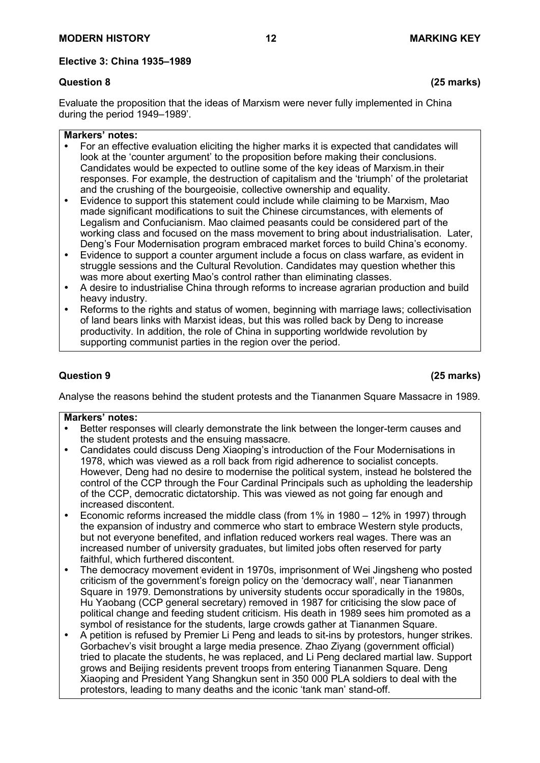# **Question 8 (25 marks)**

Evaluate the proposition that the ideas of Marxism were never fully implemented in China during the period 1949–1989'.

#### **Markers' notes:**

- For an effective evaluation eliciting the higher marks it is expected that candidates will look at the 'counter argument' to the proposition before making their conclusions. Candidates would be expected to outline some of the key ideas of Marxism.in their responses. For example, the destruction of capitalism and the 'triumph' of the proletariat and the crushing of the bourgeoisie, collective ownership and equality.
- Evidence to support this statement could include while claiming to be Marxism, Mao made significant modifications to suit the Chinese circumstances, with elements of Legalism and Confucianism. Mao claimed peasants could be considered part of the working class and focused on the mass movement to bring about industrialisation. Later, Deng's Four Modernisation program embraced market forces to build China's economy.
- Evidence to support a counter argument include a focus on class warfare, as evident in struggle sessions and the Cultural Revolution. Candidates may question whether this was more about exerting Mao's control rather than eliminating classes.
- A desire to industrialise China through reforms to increase agrarian production and build heavy industry.
- Reforms to the rights and status of women, beginning with marriage laws; collectivisation of land bears links with Marxist ideas, but this was rolled back by Deng to increase productivity. In addition, the role of China in supporting worldwide revolution by supporting communist parties in the region over the period.

# **Question 9 (25 marks)**

Analyse the reasons behind the student protests and the Tiananmen Square Massacre in 1989.

- Better responses will clearly demonstrate the link between the longer-term causes and the student protests and the ensuing massacre.
- Candidates could discuss Deng Xiaoping's introduction of the Four Modernisations in 1978, which was viewed as a roll back from rigid adherence to socialist concepts. However, Deng had no desire to modernise the political system, instead he bolstered the control of the CCP through the Four Cardinal Principals such as upholding the leadership of the CCP, democratic dictatorship. This was viewed as not going far enough and increased discontent.
- Economic reforms increased the middle class (from 1% in 1980 12% in 1997) through the expansion of industry and commerce who start to embrace Western style products, but not everyone benefited, and inflation reduced workers real wages. There was an increased number of university graduates, but limited jobs often reserved for party faithful, which furthered discontent.
- The democracy movement evident in 1970s, imprisonment of Wei Jingsheng who posted criticism of the government's foreign policy on the 'democracy wall', near Tiananmen Square in 1979. Demonstrations by university students occur sporadically in the 1980s, Hu Yaobang (CCP general secretary) removed in 1987 for criticising the slow pace of political change and feeding student criticism. His death in 1989 sees him promoted as a symbol of resistance for the students, large crowds gather at Tiananmen Square.
- A petition is refused by Premier Li Peng and leads to sit-ins by protestors, hunger strikes. Gorbachev's visit brought a large media presence. Zhao Ziyang (government official) tried to placate the students, he was replaced, and Li Peng declared martial law. Support grows and Beijing residents prevent troops from entering Tiananmen Square. Deng Xiaoping and President Yang Shangkun sent in 350 000 PLA soldiers to deal with the protestors, leading to many deaths and the iconic 'tank man' stand-off.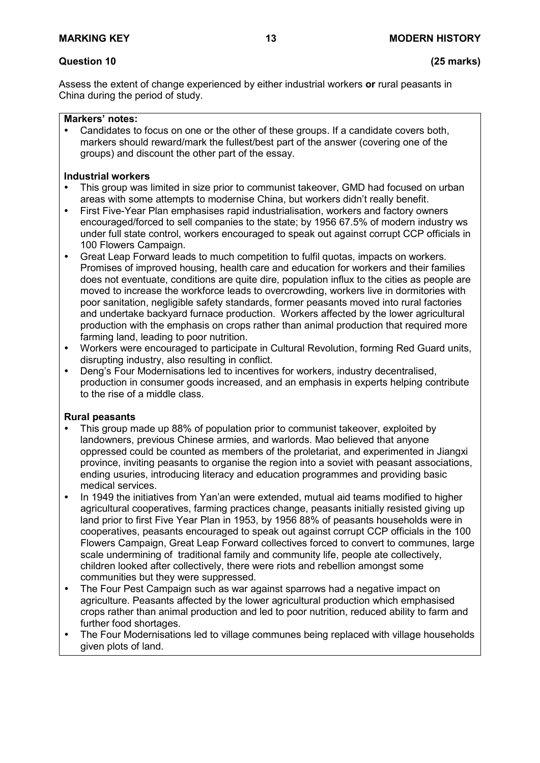# **Question 10 (25 marks)**

Assess the extent of change experienced by either industrial workers **or** rural peasants in China during the period of study.

#### **Markers' notes:**

 Candidates to focus on one or the other of these groups. If a candidate covers both, markers should reward/mark the fullest/best part of the answer (covering one of the groups) and discount the other part of the essay.

#### **Industrial workers**

- This group was limited in size prior to communist takeover, GMD had focused on urban areas with some attempts to modernise China, but workers didn't really benefit.
- First Five-Year Plan emphasises rapid industrialisation, workers and factory owners encouraged/forced to sell companies to the state; by 1956 67.5% of modern industry ws under full state control, workers encouraged to speak out against corrupt CCP officials in 100 Flowers Campaign.
- Great Leap Forward leads to much competition to fulfil quotas, impacts on workers. Promises of improved housing, health care and education for workers and their families does not eventuate, conditions are quite dire, population influx to the cities as people are moved to increase the workforce leads to overcrowding, workers live in dormitories with poor sanitation, negligible safety standards, former peasants moved into rural factories and undertake backyard furnace production. Workers affected by the lower agricultural production with the emphasis on crops rather than animal production that required more farming land, leading to poor nutrition.
- Workers were encouraged to participate in Cultural Revolution, forming Red Guard units, disrupting industry, also resulting in conflict.
- Deng's Four Modernisations led to incentives for workers, industry decentralised, production in consumer goods increased, and an emphasis in experts helping contribute to the rise of a middle class.

#### **Rural peasants**

- This group made up 88% of population prior to communist takeover, exploited by landowners, previous Chinese armies, and warlords. Mao believed that anyone oppressed could be counted as members of the proletariat, and experimented in Jiangxi province, inviting peasants to organise the region into a soviet with peasant associations, ending usuries, introducing literacy and education programmes and providing basic medical services.
- In 1949 the initiatives from Yan'an were extended, mutual aid teams modified to higher agricultural cooperatives, farming practices change, peasants initially resisted giving up land prior to first Five Year Plan in 1953, by 1956 88% of peasants households were in cooperatives, peasants encouraged to speak out against corrupt CCP officials in the 100 Flowers Campaign, Great Leap Forward collectives forced to convert to communes, large scale undermining of traditional family and community life, people ate collectively, children looked after collectively, there were riots and rebellion amongst some communities but they were suppressed.
- The Four Pest Campaign such as war against sparrows had a negative impact on agriculture. Peasants affected by the lower agricultural production which emphasised crops rather than animal production and led to poor nutrition, reduced ability to farm and further food shortages.
- The Four Modernisations led to village communes being replaced with village households given plots of land.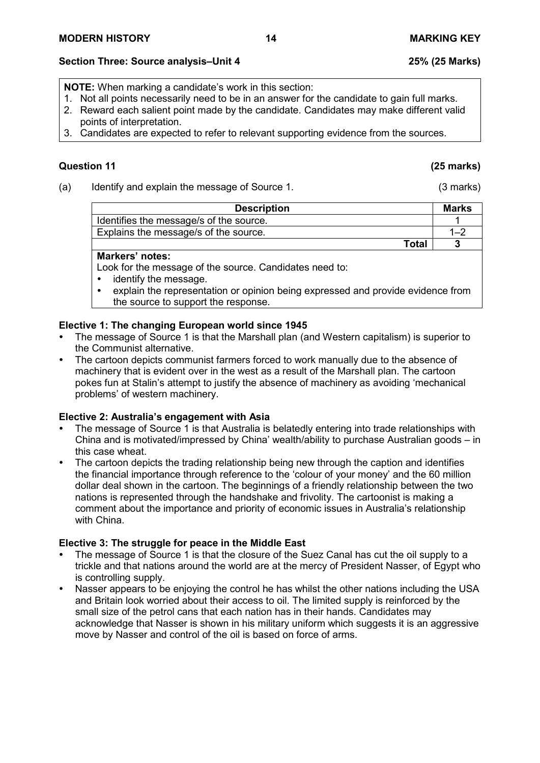# **Section Three: Source analysis–Unit 4 25% (25 Marks)**

**NOTE:** When marking a candidate's work in this section:

- 1. Not all points necessarily need to be in an answer for the candidate to gain full marks.
- 2. Reward each salient point made by the candidate. Candidates may make different valid points of interpretation.
- 3. Candidates are expected to refer to relevant supporting evidence from the sources.

# **Question 11 (25 marks)**

(a) Identify and explain the message of Source 1. (3 marks)

| <b>Description</b>                      | <b>Marks</b> |
|-----------------------------------------|--------------|
| Identifies the message/s of the source. |              |
| Explains the message/s of the source.   | 1–′          |
| Total                                   |              |

### **Markers' notes:**

Look for the message of the source. Candidates need to:

- identify the message.
- explain the representation or opinion being expressed and provide evidence from the source to support the response.

# **Elective 1: The changing European world since 1945**

- The message of Source 1 is that the Marshall plan (and Western capitalism) is superior to the Communist alternative.
- The cartoon depicts communist farmers forced to work manually due to the absence of machinery that is evident over in the west as a result of the Marshall plan. The cartoon pokes fun at Stalin's attempt to justify the absence of machinery as avoiding 'mechanical problems' of western machinery.

### **Elective 2: Australia's engagement with Asia**

- The message of Source 1 is that Australia is belatedly entering into trade relationships with China and is motivated/impressed by China' wealth/ability to purchase Australian goods – in this case wheat.
- The cartoon depicts the trading relationship being new through the caption and identifies the financial importance through reference to the 'colour of your money' and the 60 million dollar deal shown in the cartoon. The beginnings of a friendly relationship between the two nations is represented through the handshake and frivolity. The cartoonist is making a comment about the importance and priority of economic issues in Australia's relationship with China.

- The message of Source 1 is that the closure of the Suez Canal has cut the oil supply to a trickle and that nations around the world are at the mercy of President Nasser, of Egypt who is controlling supply.
- Nasser appears to be enjoying the control he has whilst the other nations including the USA and Britain look worried about their access to oil. The limited supply is reinforced by the small size of the petrol cans that each nation has in their hands. Candidates may acknowledge that Nasser is shown in his military uniform which suggests it is an aggressive move by Nasser and control of the oil is based on force of arms.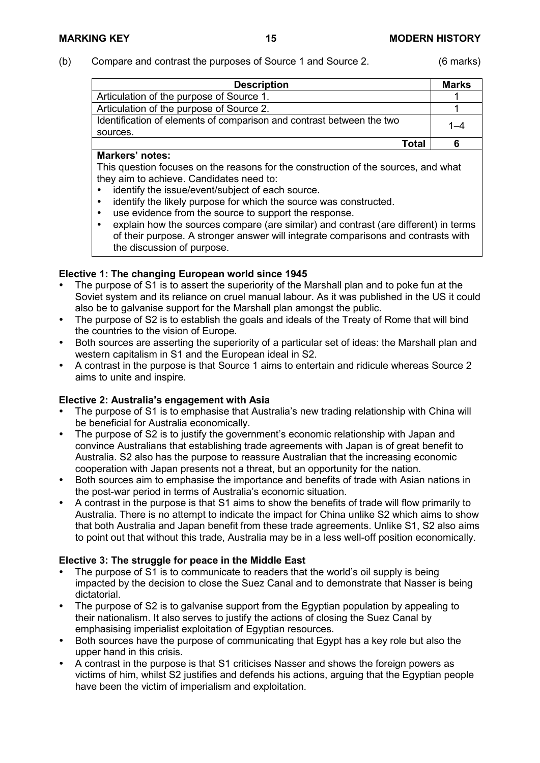#### (b) Compare and contrast the purposes of Source 1 and Source 2. (6 marks)

| <b>Description</b>                                                    | <b>Marks</b> |
|-----------------------------------------------------------------------|--------------|
| Articulation of the purpose of Source 1.                              |              |
| Articulation of the purpose of Source 2.                              |              |
| Identification of elements of comparison and contrast between the two |              |
| sources.                                                              |              |
| Total                                                                 |              |

#### **Markers' notes:**

This question focuses on the reasons for the construction of the sources, and what they aim to achieve. Candidates need to:

- identify the issue/event/subject of each source.
- identify the likely purpose for which the source was constructed.
- use evidence from the source to support the response.<br>• explain how the sources compare (are similar) and con-
- explain how the sources compare (are similar) and contrast (are different) in terms of their purpose. A stronger answer will integrate comparisons and contrasts with the discussion of purpose.

#### **Elective 1: The changing European world since 1945**

- The purpose of S1 is to assert the superiority of the Marshall plan and to poke fun at the Soviet system and its reliance on cruel manual labour. As it was published in the US it could also be to galvanise support for the Marshall plan amongst the public.
- The purpose of S2 is to establish the goals and ideals of the Treaty of Rome that will bind the countries to the vision of Europe.
- Both sources are asserting the superiority of a particular set of ideas: the Marshall plan and western capitalism in S1 and the European ideal in S2.
- A contrast in the purpose is that Source 1 aims to entertain and ridicule whereas Source 2 aims to unite and inspire.

#### **Elective 2: Australia's engagement with Asia**

- The purpose of S1 is to emphasise that Australia's new trading relationship with China will be beneficial for Australia economically.
- The purpose of S2 is to justify the government's economic relationship with Japan and convince Australians that establishing trade agreements with Japan is of great benefit to Australia. S2 also has the purpose to reassure Australian that the increasing economic cooperation with Japan presents not a threat, but an opportunity for the nation.
- Both sources aim to emphasise the importance and benefits of trade with Asian nations in the post-war period in terms of Australia's economic situation.
- A contrast in the purpose is that S1 aims to show the benefits of trade will flow primarily to Australia. There is no attempt to indicate the impact for China unlike S2 which aims to show that both Australia and Japan benefit from these trade agreements. Unlike S1, S2 also aims to point out that without this trade, Australia may be in a less well-off position economically.

- The purpose of S1 is to communicate to readers that the world's oil supply is being impacted by the decision to close the Suez Canal and to demonstrate that Nasser is being dictatorial.
- The purpose of S2 is to galvanise support from the Egyptian population by appealing to their nationalism. It also serves to justify the actions of closing the Suez Canal by emphasising imperialist exploitation of Egyptian resources.
- Both sources have the purpose of communicating that Egypt has a key role but also the upper hand in this crisis.
- A contrast in the purpose is that S1 criticises Nasser and shows the foreign powers as victims of him, whilst S2 justifies and defends his actions, arguing that the Egyptian people have been the victim of imperialism and exploitation.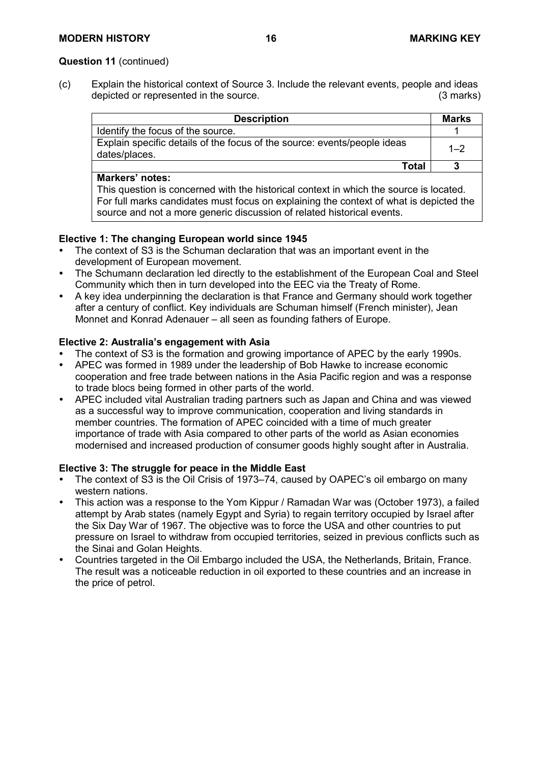#### **Question 11** (continued)

(c) Explain the historical context of Source 3. Include the relevant events, people and ideas<br>depicted or represented in the source. (3 marks) depicted or represented in the source.

| <b>Description</b>                                                                        | <b>Marks</b> |
|-------------------------------------------------------------------------------------------|--------------|
| Identify the focus of the source.                                                         |              |
| Explain specific details of the focus of the source: events/people ideas<br>dates/places. | $1 - 2$      |
| Total                                                                                     |              |

#### **Markers' notes:**

This question is concerned with the historical context in which the source is located. For full marks candidates must focus on explaining the context of what is depicted the source and not a more generic discussion of related historical events.

### **Elective 1: The changing European world since 1945**

- The context of S3 is the Schuman declaration that was an important event in the development of European movement.
- The Schumann declaration led directly to the establishment of the European Coal and Steel Community which then in turn developed into the EEC via the Treaty of Rome.
- A key idea underpinning the declaration is that France and Germany should work together after a century of conflict. Key individuals are Schuman himself (French minister), Jean Monnet and Konrad Adenauer – all seen as founding fathers of Europe.

#### **Elective 2: Australia's engagement with Asia**

- The context of S3 is the formation and growing importance of APEC by the early 1990s.
- APEC was formed in 1989 under the leadership of Bob Hawke to increase economic cooperation and free trade between nations in the Asia Pacific region and was a response to trade blocs being formed in other parts of the world.
- APEC included vital Australian trading partners such as Japan and China and was viewed as a successful way to improve communication, cooperation and living standards in member countries. The formation of APEC coincided with a time of much greater importance of trade with Asia compared to other parts of the world as Asian economies modernised and increased production of consumer goods highly sought after in Australia.

- The context of S3 is the Oil Crisis of 1973–74, caused by OAPEC's oil embargo on many western nations.
- This action was a response to the Yom Kippur / Ramadan War was (October 1973), a failed attempt by Arab states (namely Egypt and Syria) to regain territory occupied by Israel after the Six Day War of 1967. The objective was to force the USA and other countries to put pressure on Israel to withdraw from occupied territories, seized in previous conflicts such as the Sinai and Golan Heights.
- Countries targeted in the Oil Embargo included the USA, the Netherlands, Britain, France. The result was a noticeable reduction in oil exported to these countries and an increase in the price of petrol.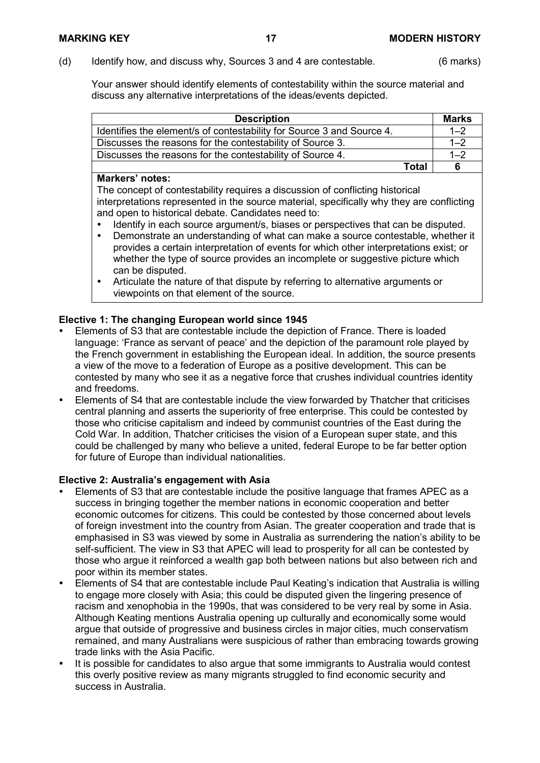(d) Identify how, and discuss why, Sources 3 and 4 are contestable. (6 marks)

Your answer should identify elements of contestability within the source material and discuss any alternative interpretations of the ideas/events depicted.

| <b>Description</b>                                                    |       | <b>Marks</b> |
|-----------------------------------------------------------------------|-------|--------------|
| Identifies the element/s of contestability for Source 3 and Source 4. |       | $1 - 2$      |
| Discusses the reasons for the contestability of Source 3.             |       | $1 - 2$      |
| Discusses the reasons for the contestability of Source 4.             |       | $1 - 2$      |
|                                                                       | Total |              |

#### **Markers' notes:**

The concept of contestability requires a discussion of conflicting historical interpretations represented in the source material, specifically why they are conflicting and open to historical debate. Candidates need to:

- Identify in each source argument/s, biases or perspectives that can be disputed.<br>
Demonstrate an understanding of what can make a source contestable, whether
- Demonstrate an understanding of what can make a source contestable, whether it provides a certain interpretation of events for which other interpretations exist; or whether the type of source provides an incomplete or suggestive picture which can be disputed.
- Articulate the nature of that dispute by referring to alternative arguments or viewpoints on that element of the source.

# **Elective 1: The changing European world since 1945**

- Elements of S3 that are contestable include the depiction of France. There is loaded language: 'France as servant of peace' and the depiction of the paramount role played by the French government in establishing the European ideal. In addition, the source presents a view of the move to a federation of Europe as a positive development. This can be contested by many who see it as a negative force that crushes individual countries identity and freedoms.
- Elements of S4 that are contestable include the view forwarded by Thatcher that criticises central planning and asserts the superiority of free enterprise. This could be contested by those who criticise capitalism and indeed by communist countries of the East during the Cold War. In addition, Thatcher criticises the vision of a European super state, and this could be challenged by many who believe a united, federal Europe to be far better option for future of Europe than individual nationalities.

### **Elective 2: Australia's engagement with Asia**

- Elements of S3 that are contestable include the positive language that frames APEC as a success in bringing together the member nations in economic cooperation and better economic outcomes for citizens. This could be contested by those concerned about levels of foreign investment into the country from Asian. The greater cooperation and trade that is emphasised in S3 was viewed by some in Australia as surrendering the nation's ability to be self-sufficient. The view in S3 that APEC will lead to prosperity for all can be contested by those who argue it reinforced a wealth gap both between nations but also between rich and poor within its member states.
- Elements of S4 that are contestable include Paul Keating's indication that Australia is willing to engage more closely with Asia; this could be disputed given the lingering presence of racism and xenophobia in the 1990s, that was considered to be very real by some in Asia. Although Keating mentions Australia opening up culturally and economically some would argue that outside of progressive and business circles in major cities, much conservatism remained, and many Australians were suspicious of rather than embracing towards growing trade links with the Asia Pacific.
- It is possible for candidates to also argue that some immigrants to Australia would contest this overly positive review as many migrants struggled to find economic security and success in Australia.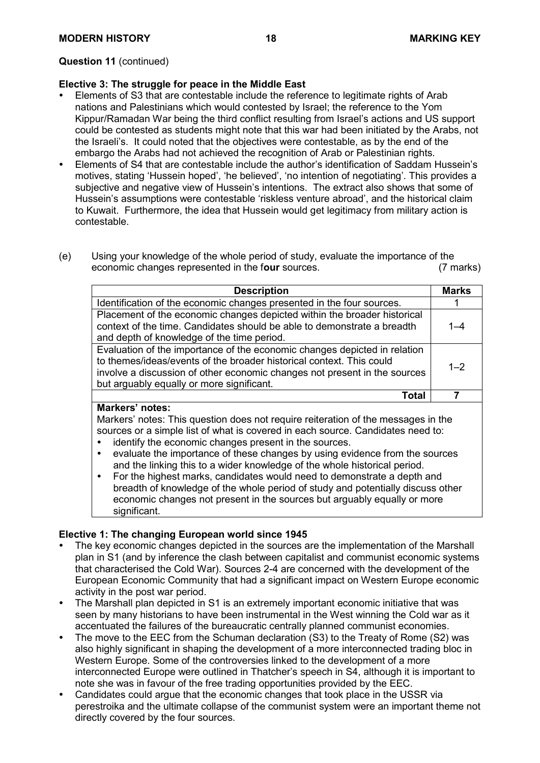#### **Question 11** (continued)

#### **Elective 3: The struggle for peace in the Middle East**

- Elements of S3 that are contestable include the reference to legitimate rights of Arab nations and Palestinians which would contested by Israel; the reference to the Yom Kippur/Ramadan War being the third conflict resulting from Israel's actions and US support could be contested as students might note that this war had been initiated by the Arabs, not the Israeli's. It could noted that the objectives were contestable, as by the end of the embargo the Arabs had not achieved the recognition of Arab or Palestinian rights.
- Elements of S4 that are contestable include the author's identification of Saddam Hussein's motives, stating 'Hussein hoped', 'he believed', 'no intention of negotiating'. This provides a subjective and negative view of Hussein's intentions. The extract also shows that some of Hussein's assumptions were contestable 'riskless venture abroad', and the historical claim to Kuwait. Furthermore, the idea that Hussein would get legitimacy from military action is contestable.
- (e) Using your knowledge of the whole period of study, evaluate the importance of the economic changes represented in the four sources. economic changes represented in the four sources.

| <b>Description</b>                                                                                                                                                                                                                                                          | <b>Marks</b> |
|-----------------------------------------------------------------------------------------------------------------------------------------------------------------------------------------------------------------------------------------------------------------------------|--------------|
| Identification of the economic changes presented in the four sources.                                                                                                                                                                                                       |              |
| Placement of the economic changes depicted within the broader historical<br>context of the time. Candidates should be able to demonstrate a breadth<br>and depth of knowledge of the time period.                                                                           | 1–4          |
| Evaluation of the importance of the economic changes depicted in relation<br>to themes/ideas/events of the broader historical context. This could<br>involve a discussion of other economic changes not present in the sources<br>but arguably equally or more significant. | $1 - 2$      |
| Total                                                                                                                                                                                                                                                                       |              |
| <b>Markers' notes:</b><br>the contract of the contract of the contract of the contract of the contract of                                                                                                                                                                   |              |

Markers' notes: This question does not require reiteration of the messages in the sources or a simple list of what is covered in each source. Candidates need to:

- identify the economic changes present in the sources.
- evaluate the importance of these changes by using evidence from the sources and the linking this to a wider knowledge of the whole historical period.
- For the highest marks, candidates would need to demonstrate a depth and breadth of knowledge of the whole period of study and potentially discuss other economic changes not present in the sources but arguably equally or more significant.

#### **Elective 1: The changing European world since 1945**

- The key economic changes depicted in the sources are the implementation of the Marshall plan in S1 (and by inference the clash between capitalist and communist economic systems that characterised the Cold War). Sources 2-4 are concerned with the development of the European Economic Community that had a significant impact on Western Europe economic activity in the post war period.
- The Marshall plan depicted in S1 is an extremely important economic initiative that was seen by many historians to have been instrumental in the West winning the Cold war as it accentuated the failures of the bureaucratic centrally planned communist economies.
- The move to the EEC from the Schuman declaration (S3) to the Treaty of Rome (S2) was also highly significant in shaping the development of a more interconnected trading bloc in Western Europe. Some of the controversies linked to the development of a more interconnected Europe were outlined in Thatcher's speech in S4, although it is important to note she was in favour of the free trading opportunities provided by the EEC.
- Candidates could argue that the economic changes that took place in the USSR via perestroika and the ultimate collapse of the communist system were an important theme not directly covered by the four sources.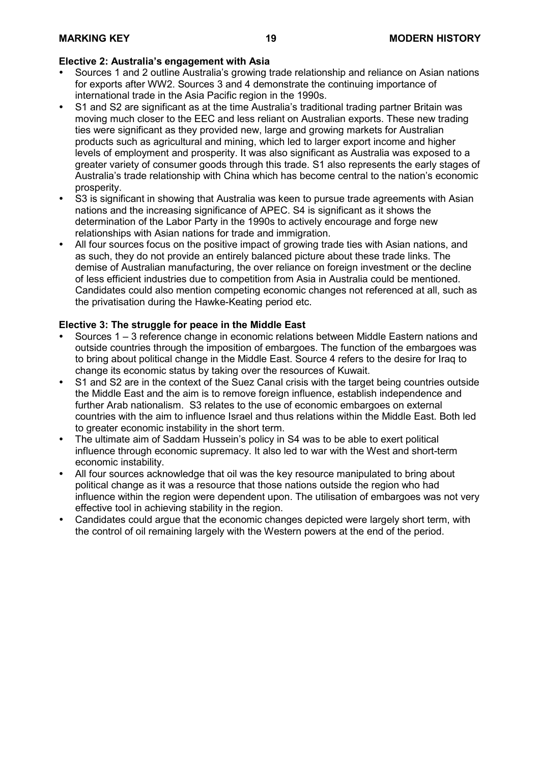#### **Elective 2: Australia's engagement with Asia**

- Sources 1 and 2 outline Australia's growing trade relationship and reliance on Asian nations for exports after WW2. Sources 3 and 4 demonstrate the continuing importance of international trade in the Asia Pacific region in the 1990s.
- S1 and S2 are significant as at the time Australia's traditional trading partner Britain was moving much closer to the EEC and less reliant on Australian exports. These new trading ties were significant as they provided new, large and growing markets for Australian products such as agricultural and mining, which led to larger export income and higher levels of employment and prosperity. It was also significant as Australia was exposed to a greater variety of consumer goods through this trade. S1 also represents the early stages of Australia's trade relationship with China which has become central to the nation's economic prosperity.
- S3 is significant in showing that Australia was keen to pursue trade agreements with Asian nations and the increasing significance of APEC. S4 is significant as it shows the determination of the Labor Party in the 1990s to actively encourage and forge new relationships with Asian nations for trade and immigration.
- All four sources focus on the positive impact of growing trade ties with Asian nations, and as such, they do not provide an entirely balanced picture about these trade links. The demise of Australian manufacturing, the over reliance on foreign investment or the decline of less efficient industries due to competition from Asia in Australia could be mentioned. Candidates could also mention competing economic changes not referenced at all, such as the privatisation during the Hawke-Keating period etc.

- Sources 1 3 reference change in economic relations between Middle Eastern nations and outside countries through the imposition of embargoes. The function of the embargoes was to bring about political change in the Middle East. Source 4 refers to the desire for Iraq to change its economic status by taking over the resources of Kuwait.
- S1 and S2 are in the context of the Suez Canal crisis with the target being countries outside the Middle East and the aim is to remove foreign influence, establish independence and further Arab nationalism. S3 relates to the use of economic embargoes on external countries with the aim to influence Israel and thus relations within the Middle East. Both led to greater economic instability in the short term.
- The ultimate aim of Saddam Hussein's policy in S4 was to be able to exert political influence through economic supremacy. It also led to war with the West and short-term economic instability.
- All four sources acknowledge that oil was the key resource manipulated to bring about political change as it was a resource that those nations outside the region who had influence within the region were dependent upon. The utilisation of embargoes was not very effective tool in achieving stability in the region.
- Candidates could argue that the economic changes depicted were largely short term, with the control of oil remaining largely with the Western powers at the end of the period.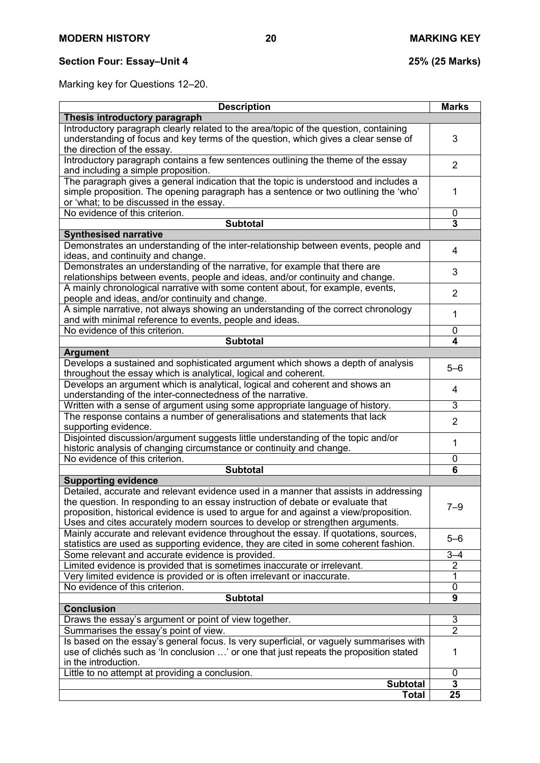# **Section Four: Essay–Unit 4 25% (25 Marks)**

Marking key for Questions 12–20.

| <b>Description</b>                                                                                                                                                                                                     | <b>Marks</b>   |
|------------------------------------------------------------------------------------------------------------------------------------------------------------------------------------------------------------------------|----------------|
| Thesis introductory paragraph                                                                                                                                                                                          |                |
| Introductory paragraph clearly related to the area/topic of the question, containing<br>understanding of focus and key terms of the question, which gives a clear sense of<br>the direction of the essay.              | 3              |
| Introductory paragraph contains a few sentences outlining the theme of the essay<br>and including a simple proposition.                                                                                                | $\overline{2}$ |
| The paragraph gives a general indication that the topic is understood and includes a<br>simple proposition. The opening paragraph has a sentence or two outlining the 'who'<br>or 'what; to be discussed in the essay. | 1              |
| No evidence of this criterion.                                                                                                                                                                                         | 0              |
| <b>Subtotal</b>                                                                                                                                                                                                        | 3              |
| <b>Synthesised narrative</b>                                                                                                                                                                                           |                |
| Demonstrates an understanding of the inter-relationship between events, people and<br>ideas, and continuity and change.                                                                                                | 4              |
| Demonstrates an understanding of the narrative, for example that there are<br>relationships between events, people and ideas, and/or continuity and change.                                                            | 3              |
| A mainly chronological narrative with some content about, for example, events,<br>people and ideas, and/or continuity and change.                                                                                      | $\overline{2}$ |
| A simple narrative, not always showing an understanding of the correct chronology<br>and with minimal reference to events, people and ideas.                                                                           | 1              |
| No evidence of this criterion.                                                                                                                                                                                         | 0              |
| <b>Subtotal</b>                                                                                                                                                                                                        | 4              |
| <b>Argument</b>                                                                                                                                                                                                        |                |
| Develops a sustained and sophisticated argument which shows a depth of analysis<br>throughout the essay which is analytical, logical and coherent.                                                                     | $5 - 6$        |
| Develops an argument which is analytical, logical and coherent and shows an<br>understanding of the inter-connectedness of the narrative.                                                                              | 4              |
| Written with a sense of argument using some appropriate language of history.                                                                                                                                           | 3              |
| The response contains a number of generalisations and statements that lack<br>supporting evidence.                                                                                                                     | $\overline{2}$ |
| Disjointed discussion/argument suggests little understanding of the topic and/or                                                                                                                                       | 1              |
| historic analysis of changing circumstance or continuity and change.<br>No evidence of this criterion.                                                                                                                 |                |
| <b>Subtotal</b>                                                                                                                                                                                                        | 0<br>6         |
| <b>Supporting evidence</b>                                                                                                                                                                                             |                |
| Detailed, accurate and relevant evidence used in a manner that assists in addressing                                                                                                                                   |                |
| the question. In responding to an essay instruction of debate or evaluate that                                                                                                                                         |                |
| proposition, historical evidence is used to argue for and against a view/proposition.                                                                                                                                  | $7 - 9$        |
| Uses and cites accurately modern sources to develop or strengthen arguments.                                                                                                                                           |                |
| Mainly accurate and relevant evidence throughout the essay. If quotations, sources,                                                                                                                                    | $5 - 6$        |
| statistics are used as supporting evidence, they are cited in some coherent fashion.                                                                                                                                   |                |
| Some relevant and accurate evidence is provided.                                                                                                                                                                       | $3 - 4$        |
| Limited evidence is provided that is sometimes inaccurate or irrelevant.<br>Very limited evidence is provided or is often irrelevant or inaccurate.                                                                    | 2              |
| No evidence of this criterion.                                                                                                                                                                                         | 1<br>0         |
| <b>Subtotal</b>                                                                                                                                                                                                        | 9              |
| <b>Conclusion</b>                                                                                                                                                                                                      |                |
| Draws the essay's argument or point of view together.                                                                                                                                                                  | 3              |
| Summarises the essay's point of view.                                                                                                                                                                                  | $\overline{2}$ |
| Is based on the essay's general focus. Is very superficial, or vaguely summarises with                                                                                                                                 |                |
| use of clichés such as 'In conclusion ' or one that just repeats the proposition stated<br>in the introduction.                                                                                                        | 1              |
| Little to no attempt at providing a conclusion.                                                                                                                                                                        | 0              |
| <b>Subtotal</b>                                                                                                                                                                                                        | 3              |
| <b>Total</b>                                                                                                                                                                                                           | 25             |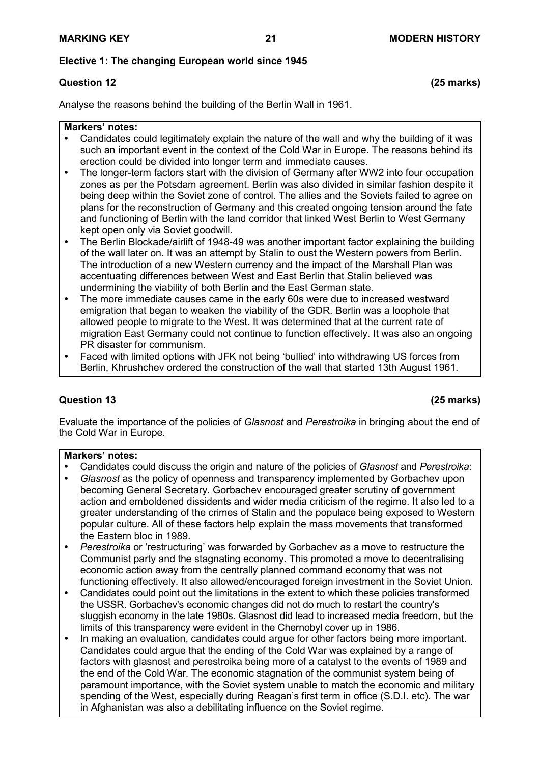#### **Elective 1: The changing European world since 1945**

# **Question 12 (25 marks)**

Analyse the reasons behind the building of the Berlin Wall in 1961.

#### **Markers' notes:**

- Candidates could legitimately explain the nature of the wall and why the building of it was such an important event in the context of the Cold War in Europe. The reasons behind its erection could be divided into longer term and immediate causes.
- The longer-term factors start with the division of Germany after WW2 into four occupation zones as per the Potsdam agreement. Berlin was also divided in similar fashion despite it being deep within the Soviet zone of control. The allies and the Soviets failed to agree on plans for the reconstruction of Germany and this created ongoing tension around the fate and functioning of Berlin with the land corridor that linked West Berlin to West Germany kept open only via Soviet goodwill.
- The Berlin Blockade/airlift of 1948-49 was another important factor explaining the building of the wall later on. It was an attempt by Stalin to oust the Western powers from Berlin. The introduction of a new Western currency and the impact of the Marshall Plan was accentuating differences between West and East Berlin that Stalin believed was undermining the viability of both Berlin and the East German state.
- The more immediate causes came in the early 60s were due to increased westward emigration that began to weaken the viability of the GDR. Berlin was a loophole that allowed people to migrate to the West. It was determined that at the current rate of migration East Germany could not continue to function effectively. It was also an ongoing PR disaster for communism.
- Faced with limited options with JFK not being 'bullied' into withdrawing US forces from Berlin, Khrushchev ordered the construction of the wall that started 13th August 1961.

#### **Question 13 (25 marks)**

Evaluate the importance of the policies of *Glasnost* and *Perestroika* in bringing about the end of the Cold War in Europe.

- Candidates could discuss the origin and nature of the policies of *Glasnost* and *Perestroika*:
- *Glasnost* as the policy of openness and transparency implemented by Gorbachev upon becoming General Secretary. Gorbachev encouraged greater scrutiny of government action and emboldened dissidents and wider media criticism of the regime. It also led to a greater understanding of the crimes of Stalin and the populace being exposed to Western popular culture. All of these factors help explain the mass movements that transformed the Eastern bloc in 1989.
- *Perestroika* or 'restructuring' was forwarded by Gorbachev as a move to restructure the Communist party and the stagnating economy. This promoted a move to decentralising economic action away from the centrally planned command economy that was not functioning effectively. It also allowed/encouraged foreign investment in the Soviet Union.
- Candidates could point out the limitations in the extent to which these policies transformed the USSR. Gorbachev's economic changes did not do much to restart the country's sluggish economy in the late 1980s. Glasnost did lead to increased media freedom, but the limits of this transparency were evident in the Chernobyl cover up in 1986.
- In making an evaluation, candidates could argue for other factors being more important. Candidates could argue that the ending of the Cold War was explained by a range of factors with glasnost and perestroika being more of a catalyst to the events of 1989 and the end of the Cold War. The economic stagnation of the communist system being of paramount importance, with the Soviet system unable to match the economic and military spending of the West, especially during Reagan's first term in office (S.D.I. etc). The war in Afghanistan was also a debilitating influence on the Soviet regime.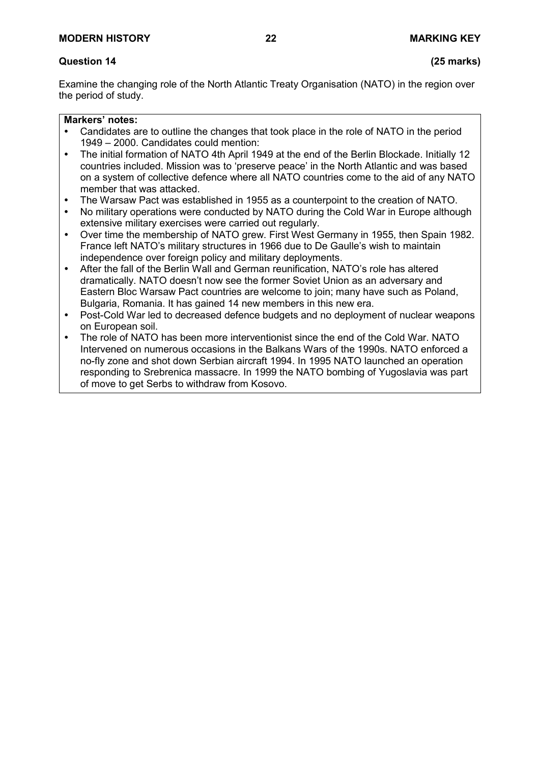# **Question 14 (25 marks)**

Examine the changing role of the North Atlantic Treaty Organisation (NATO) in the region over the period of study.

- Candidates are to outline the changes that took place in the role of NATO in the period 1949 – 2000. Candidates could mention:
- The initial formation of NATO 4th April 1949 at the end of the Berlin Blockade. Initially 12 countries included. Mission was to 'preserve peace' in the North Atlantic and was based on a system of collective defence where all NATO countries come to the aid of any NATO member that was attacked.
- The Warsaw Pact was established in 1955 as a counterpoint to the creation of NATO.
- No military operations were conducted by NATO during the Cold War in Europe although extensive military exercises were carried out regularly.
- Over time the membership of NATO grew. First West Germany in 1955, then Spain 1982. France left NATO's military structures in 1966 due to De Gaulle's wish to maintain independence over foreign policy and military deployments.
- After the fall of the Berlin Wall and German reunification, NATO's role has altered dramatically. NATO doesn't now see the former Soviet Union as an adversary and Eastern Bloc Warsaw Pact countries are welcome to join; many have such as Poland, Bulgaria, Romania. It has gained 14 new members in this new era.
- Post-Cold War led to decreased defence budgets and no deployment of nuclear weapons on European soil.
- The role of NATO has been more interventionist since the end of the Cold War. NATO Intervened on numerous occasions in the Balkans Wars of the 1990s. NATO enforced a no-fly zone and shot down Serbian aircraft 1994. In 1995 NATO launched an operation responding to Srebrenica massacre. In 1999 the NATO bombing of Yugoslavia was part of move to get Serbs to withdraw from Kosovo.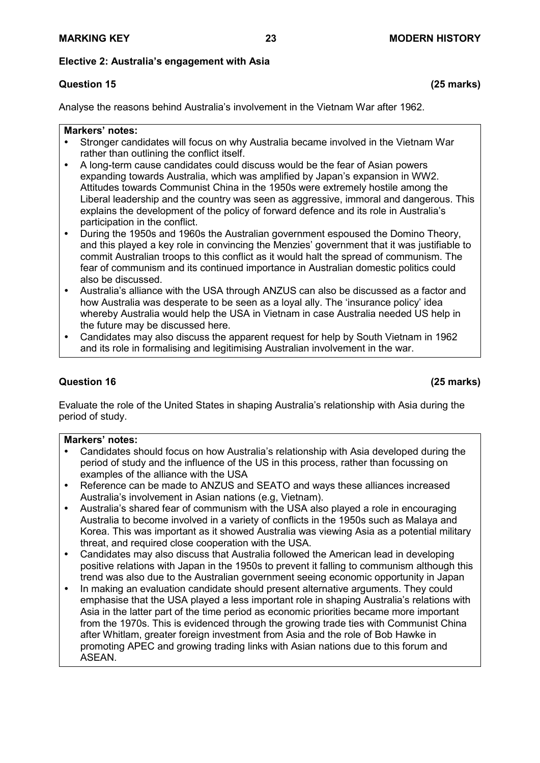#### **Elective 2: Australia's engagement with Asia**

# **Question 15 (25 marks)**

Analyse the reasons behind Australia's involvement in the Vietnam War after 1962.

#### **Markers' notes:**

- Stronger candidates will focus on why Australia became involved in the Vietnam War rather than outlining the conflict itself.
- A long-term cause candidates could discuss would be the fear of Asian powers expanding towards Australia, which was amplified by Japan's expansion in WW2. Attitudes towards Communist China in the 1950s were extremely hostile among the Liberal leadership and the country was seen as aggressive, immoral and dangerous. This explains the development of the policy of forward defence and its role in Australia's participation in the conflict.
- During the 1950s and 1960s the Australian government espoused the Domino Theory, and this played a key role in convincing the Menzies' government that it was justifiable to commit Australian troops to this conflict as it would halt the spread of communism. The fear of communism and its continued importance in Australian domestic politics could also be discussed.
- Australia's alliance with the USA through ANZUS can also be discussed as a factor and how Australia was desperate to be seen as a loyal ally. The 'insurance policy' idea whereby Australia would help the USA in Vietnam in case Australia needed US help in the future may be discussed here.
- Candidates may also discuss the apparent request for help by South Vietnam in 1962 and its role in formalising and legitimising Australian involvement in the war.

### **Question 16 (25 marks)**

Evaluate the role of the United States in shaping Australia's relationship with Asia during the period of study.

- Candidates should focus on how Australia's relationship with Asia developed during the period of study and the influence of the US in this process, rather than focussing on examples of the alliance with the USA
- Reference can be made to ANZUS and SEATO and ways these alliances increased Australia's involvement in Asian nations (e.g, Vietnam).
- Australia's shared fear of communism with the USA also played a role in encouraging Australia to become involved in a variety of conflicts in the 1950s such as Malaya and Korea. This was important as it showed Australia was viewing Asia as a potential military threat, and required close cooperation with the USA.
- Candidates may also discuss that Australia followed the American lead in developing positive relations with Japan in the 1950s to prevent it falling to communism although this trend was also due to the Australian government seeing economic opportunity in Japan
- In making an evaluation candidate should present alternative arguments. They could emphasise that the USA played a less important role in shaping Australia's relations with Asia in the latter part of the time period as economic priorities became more important from the 1970s. This is evidenced through the growing trade ties with Communist China after Whitlam, greater foreign investment from Asia and the role of Bob Hawke in promoting APEC and growing trading links with Asian nations due to this forum and ASEAN.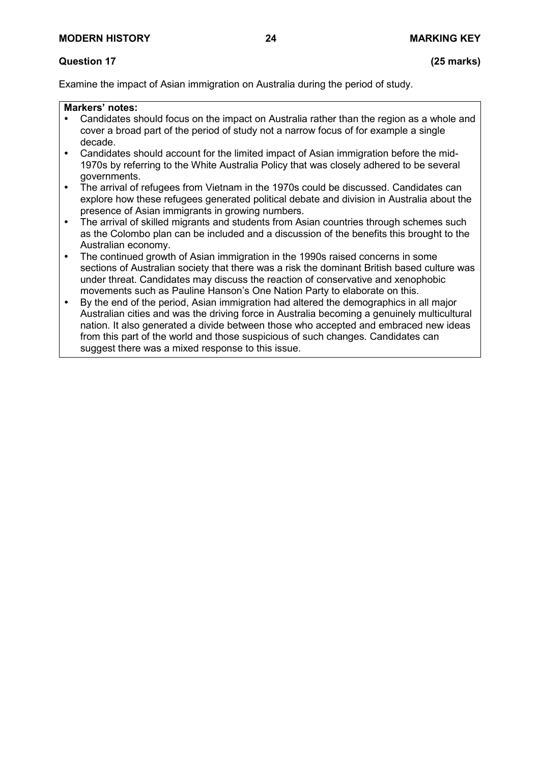#### **Question 17 (25 marks)**

Examine the impact of Asian immigration on Australia during the period of study.

- Candidates should focus on the impact on Australia rather than the region as a whole and cover a broad part of the period of study not a narrow focus of for example a single decade.
- Candidates should account for the limited impact of Asian immigration before the mid-1970s by referring to the White Australia Policy that was closely adhered to be several governments.
- The arrival of refugees from Vietnam in the 1970s could be discussed. Candidates can explore how these refugees generated political debate and division in Australia about the presence of Asian immigrants in growing numbers.
- The arrival of skilled migrants and students from Asian countries through schemes such as the Colombo plan can be included and a discussion of the benefits this brought to the Australian economy.
- The continued growth of Asian immigration in the 1990s raised concerns in some sections of Australian society that there was a risk the dominant British based culture was under threat. Candidates may discuss the reaction of conservative and xenophobic movements such as Pauline Hanson's One Nation Party to elaborate on this.
- By the end of the period, Asian immigration had altered the demographics in all major Australian cities and was the driving force in Australia becoming a genuinely multicultural nation. It also generated a divide between those who accepted and embraced new ideas from this part of the world and those suspicious of such changes. Candidates can suggest there was a mixed response to this issue.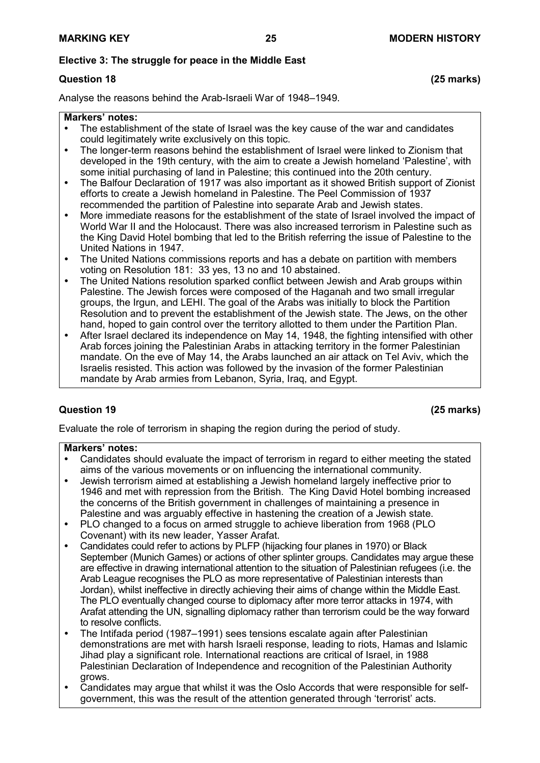### **Elective 3: The struggle for peace in the Middle East**

# **Question 18 (25 marks)**

Analyse the reasons behind the Arab-Israeli War of 1948–1949.

#### **Markers' notes:**

- The establishment of the state of Israel was the key cause of the war and candidates could legitimately write exclusively on this topic.
- The longer-term reasons behind the establishment of Israel were linked to Zionism that developed in the 19th century, with the aim to create a Jewish homeland 'Palestine', with some initial purchasing of land in Palestine; this continued into the 20th century.
- The Balfour Declaration of 1917 was also important as it showed British support of Zionist efforts to create a Jewish homeland in Palestine. The Peel Commission of 1937 recommended the partition of Palestine into separate Arab and Jewish states.
- More immediate reasons for the establishment of the state of Israel involved the impact of World War II and the Holocaust. There was also increased terrorism in Palestine such as the King David Hotel bombing that led to the British referring the issue of Palestine to the United Nations in 1947.
- The United Nations commissions reports and has a debate on partition with members voting on Resolution 181: 33 yes, 13 no and 10 abstained.
- The United Nations resolution sparked conflict between Jewish and Arab groups within Palestine. The Jewish forces were composed of the Haganah and two small irregular groups, the Irgun, and LEHI. The goal of the Arabs was initially to block the Partition Resolution and to prevent the establishment of the Jewish state. The Jews, on the other hand, hoped to gain control over the territory allotted to them under the Partition Plan.
- After Israel declared its independence on May 14, 1948, the fighting intensified with other Arab forces joining the Palestinian Arabs in attacking territory in the former Palestinian mandate. On the eve of May 14, the Arabs launched an air attack on Tel Aviv, which the Israelis resisted. This action was followed by the invasion of the former Palestinian mandate by Arab armies from Lebanon, Syria, Iraq, and Egypt.

# **Question 19 (25 marks)**

Evaluate the role of terrorism in shaping the region during the period of study.

- Candidates should evaluate the impact of terrorism in regard to either meeting the stated aims of the various movements or on influencing the international community.
- Jewish terrorism aimed at establishing a Jewish homeland largely ineffective prior to 1946 and met with repression from the British. The King David Hotel bombing increased the concerns of the British government in challenges of maintaining a presence in Palestine and was arguably effective in hastening the creation of a Jewish state.
- PLO changed to a focus on armed struggle to achieve liberation from 1968 (PLO Covenant) with its new leader, Yasser Arafat.
- Candidates could refer to actions by PLFP (hijacking four planes in 1970) or Black September (Munich Games) or actions of other splinter groups. Candidates may argue these are effective in drawing international attention to the situation of Palestinian refugees (i.e. the Arab League recognises the PLO as more representative of Palestinian interests than Jordan), whilst ineffective in directly achieving their aims of change within the Middle East. The PLO eventually changed course to diplomacy after more terror attacks in 1974, with Arafat attending the UN, signalling diplomacy rather than terrorism could be the way forward to resolve conflicts.
- The Intifada period (1987–1991) sees tensions escalate again after Palestinian demonstrations are met with harsh Israeli response, leading to riots, Hamas and Islamic Jihad play a significant role. International reactions are critical of Israel, in 1988 Palestinian Declaration of Independence and recognition of the Palestinian Authority grows.
- Candidates may argue that whilst it was the Oslo Accords that were responsible for selfgovernment, this was the result of the attention generated through 'terrorist' acts.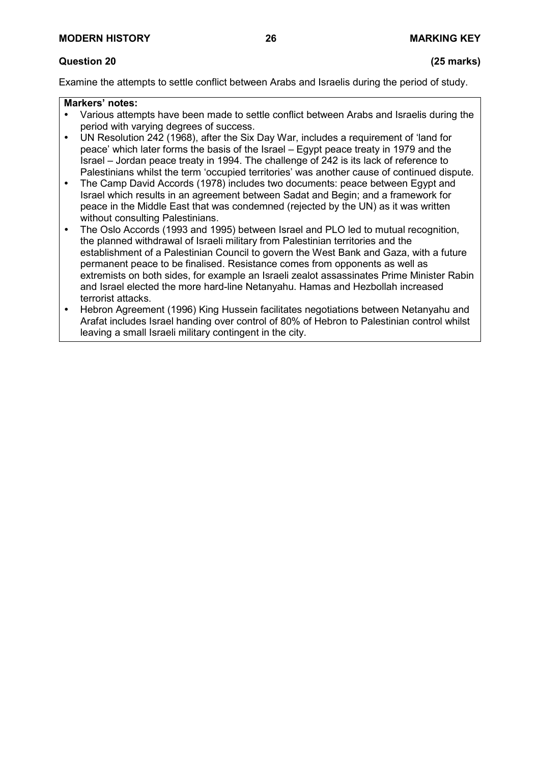# **Question 20 (25 marks)**

Examine the attempts to settle conflict between Arabs and Israelis during the period of study.

- Various attempts have been made to settle conflict between Arabs and Israelis during the period with varying degrees of success.
- UN Resolution 242 (1968), after the Six Day War, includes a requirement of 'land for peace' which later forms the basis of the Israel – Egypt peace treaty in 1979 and the Israel – Jordan peace treaty in 1994. The challenge of 242 is its lack of reference to Palestinians whilst the term 'occupied territories' was another cause of continued dispute.
- The Camp David Accords (1978) includes two documents: peace between Egypt and Israel which results in an agreement between Sadat and Begin; and a framework for peace in the Middle East that was condemned (rejected by the UN) as it was written without consulting Palestinians.
- The Oslo Accords (1993 and 1995) between Israel and PLO led to mutual recognition, the planned withdrawal of Israeli military from Palestinian territories and the establishment of a Palestinian Council to govern the West Bank and Gaza, with a future permanent peace to be finalised. Resistance comes from opponents as well as extremists on both sides, for example an Israeli zealot assassinates Prime Minister Rabin and Israel elected the more hard-line Netanyahu. Hamas and Hezbollah increased terrorist attacks.
- Hebron Agreement (1996) King Hussein facilitates negotiations between Netanyahu and Arafat includes Israel handing over control of 80% of Hebron to Palestinian control whilst leaving a small Israeli military contingent in the city.